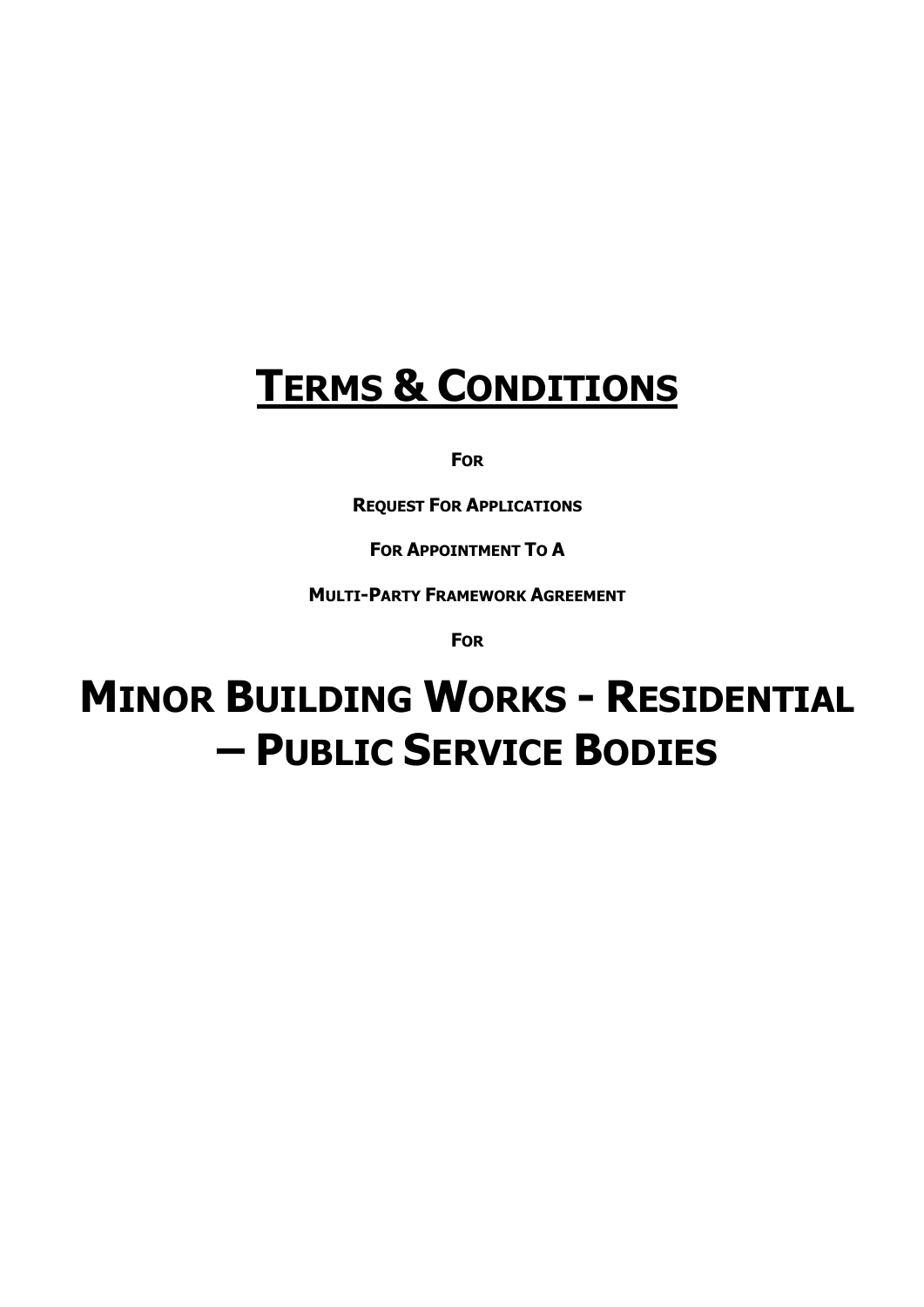# **TERMS & CONDITIONS**

**FOR**

**REQUEST FOR APPLICATIONS**

**FOR APPOINTMENT TO A**

**MULTI-PARTY FRAMEWORK AGREEMENT**

**FOR**

# **MINOR BUILDING WORKS - RESIDENTIAL – PUBLIC SERVICE BODIES**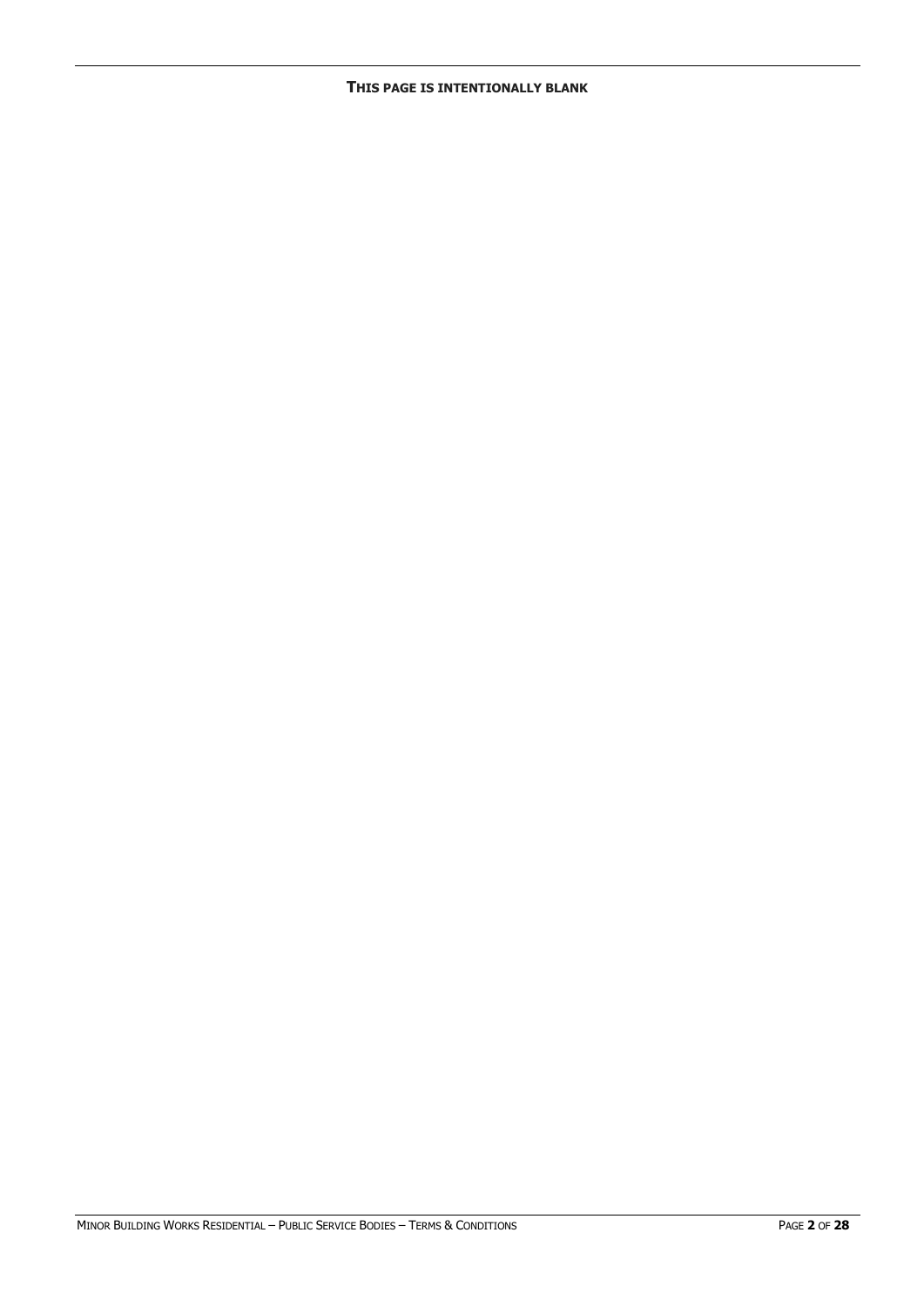### **THIS PAGE IS INTENTIONALLY BLANK**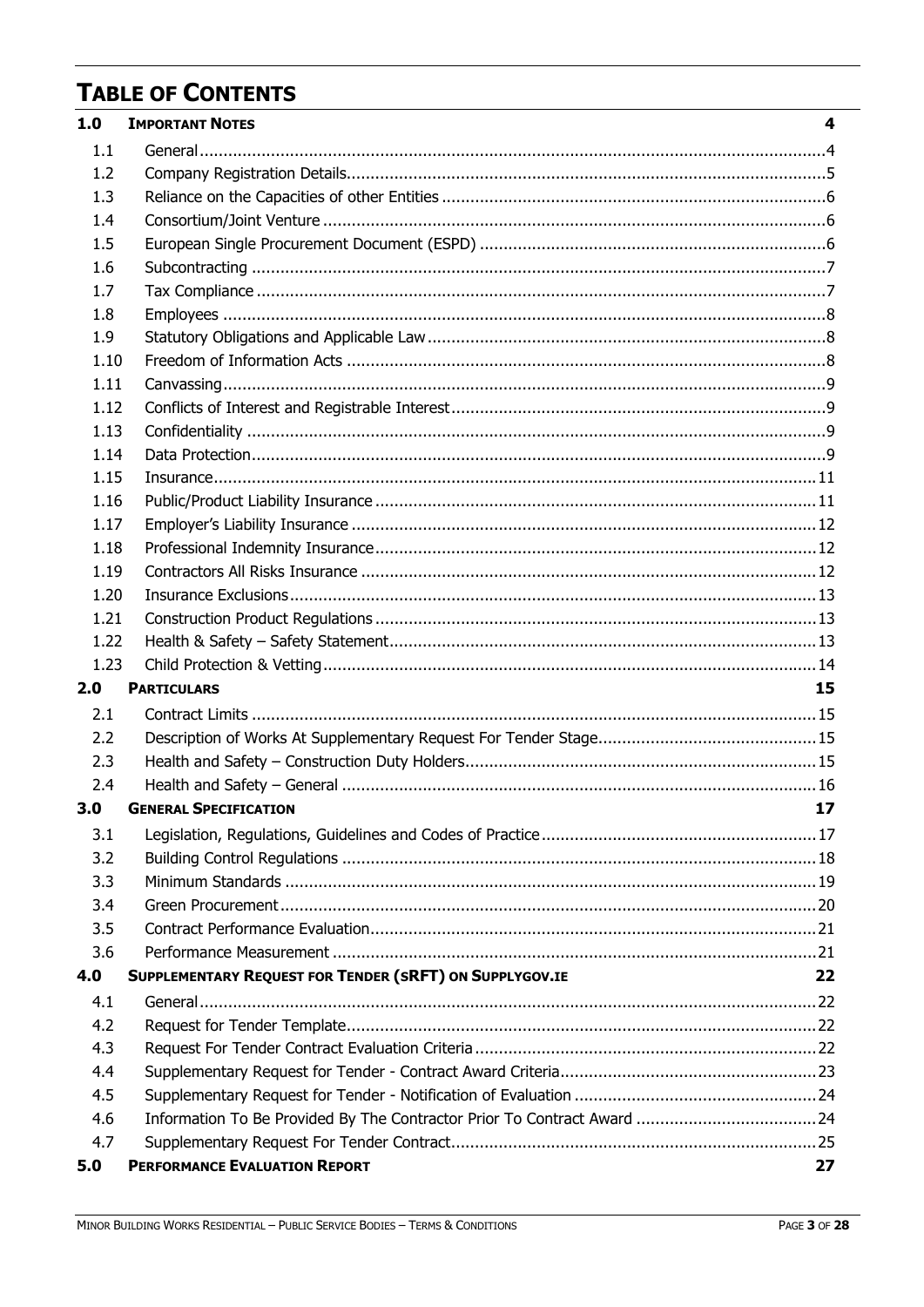# **TABLE OF CONTENTS**

| 1.0  | <b>IMPORTANT NOTES</b>                                         | 4                        |
|------|----------------------------------------------------------------|--------------------------|
| 1.1  |                                                                |                          |
| 1.2  |                                                                |                          |
| 1.3  |                                                                |                          |
| 1.4  |                                                                |                          |
| 1.5  |                                                                |                          |
| 1.6  |                                                                |                          |
| 1.7  |                                                                |                          |
| 1.8  |                                                                |                          |
| 1.9  |                                                                |                          |
| 1.10 |                                                                |                          |
| 1.11 |                                                                |                          |
| 1.12 |                                                                |                          |
| 1.13 |                                                                |                          |
| 1.14 |                                                                |                          |
| 1.15 |                                                                |                          |
| 1.16 |                                                                |                          |
| 1.17 |                                                                |                          |
| 1.18 |                                                                |                          |
| 1.19 |                                                                |                          |
| 1.20 |                                                                |                          |
| 1.21 |                                                                |                          |
| 1.22 |                                                                |                          |
| 1.23 |                                                                |                          |
| 2.0  | <b>PARTICULARS</b>                                             | 15                       |
| 2.1  |                                                                |                          |
| 2.2  |                                                                |                          |
| 2.3  |                                                                |                          |
| 2.4  |                                                                |                          |
| 3.0  | <b>GENERAL SPECIFICATION</b>                                   | $\overline{\mathbf{17}}$ |
| 3.1  |                                                                |                          |
| 3.2  |                                                                |                          |
| 3.3  |                                                                |                          |
| 3.4  |                                                                |                          |
| 3.5  |                                                                |                          |
| 3.6  |                                                                |                          |
| 4.0  | <b>SUPPLEMENTARY REQUEST FOR TENDER (SRFT) ON SUPPLYGOV.IE</b> | 22                       |
| 4.1  |                                                                |                          |
| 4.2  |                                                                |                          |
| 4.3  |                                                                |                          |
| 4.4  |                                                                |                          |
| 4.5  |                                                                |                          |
| 4.6  |                                                                |                          |
| 4.7  |                                                                |                          |
| 5.0  | <b>PERFORMANCE EVALUATION REPORT</b>                           | 27                       |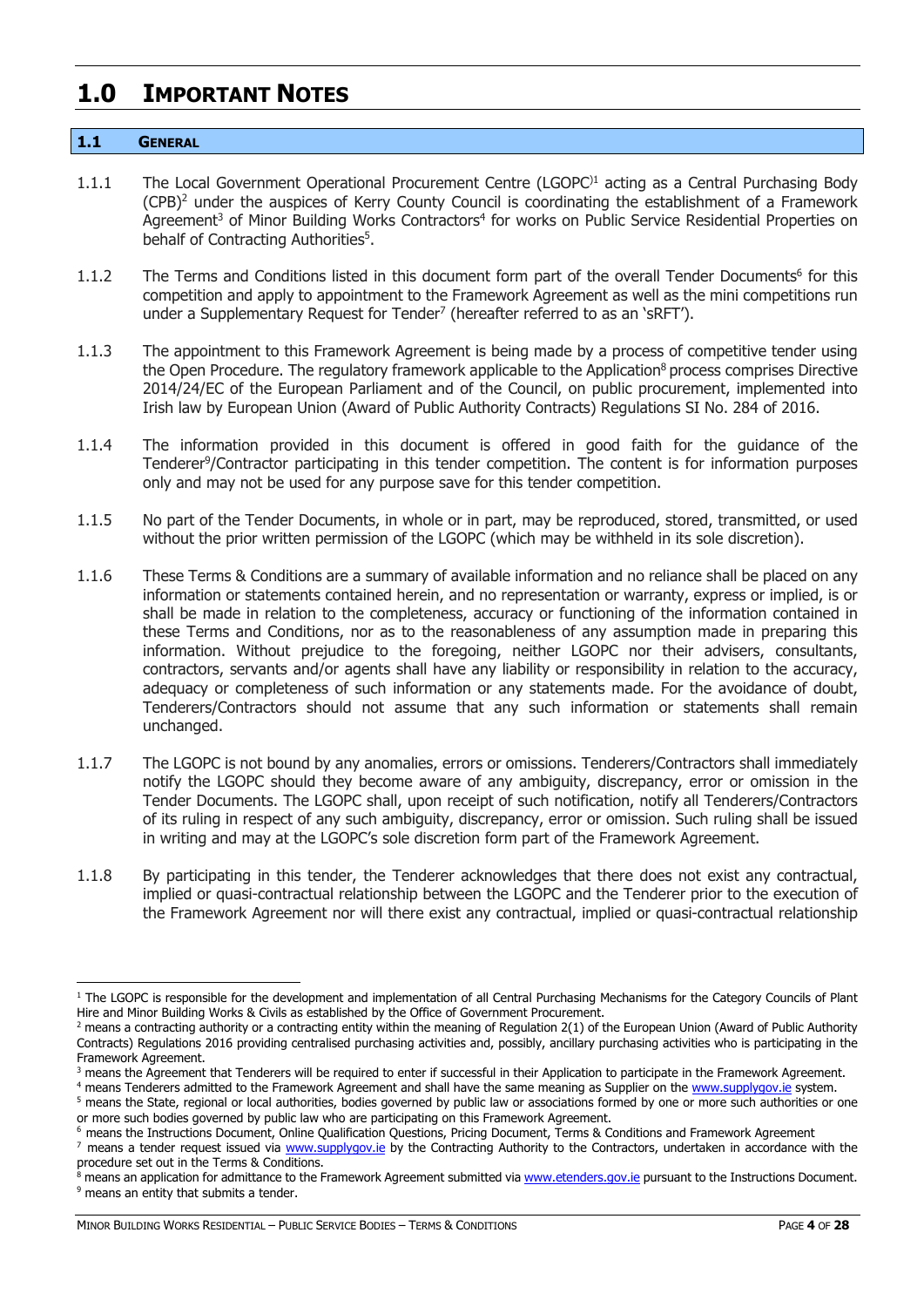# **1.0 IMPORTANT NOTES**

# **1.1 GENERAL**

- 1.1.1 The Local Government Operational Procurement Centre (LGOPC)1 acting as a Central Purchasing Body (CPB)2 under the auspices of Kerry County Council is coordinating the establishment of a Framework Agreement<sup>3</sup> of Minor Building Works Contractors<sup>4</sup> for works on Public Service Residential Properties on behalf of Contracting Authorities<sup>5</sup>.
- 1.1.2 The Terms and Conditions listed in this document form part of the overall Tender Documents<sup>6</sup> for this competition and apply to appointment to the Framework Agreement as well as the mini competitions run under a Supplementary Request for Tender<sup>7</sup> (hereafter referred to as an 'sRFT').
- 1.1.3 The appointment to this Framework Agreement is being made by a process of competitive tender using the Open Procedure. The regulatory framework applicable to the Application<sup>8</sup> process comprises Directive 2014/24/EC of the European Parliament and of the Council, on public procurement, implemented into Irish law by European Union (Award of Public Authority Contracts) Regulations SI No. 284 of 2016.
- 1.1.4 The information provided in this document is offered in good faith for the guidance of the Tenderer<sup>9</sup>/Contractor participating in this tender competition. The content is for information purposes only and may not be used for any purpose save for this tender competition.
- 1.1.5 No part of the Tender Documents, in whole or in part, may be reproduced, stored, transmitted, or used without the prior written permission of the LGOPC (which may be withheld in its sole discretion).
- 1.1.6 These Terms & Conditions are a summary of available information and no reliance shall be placed on any information or statements contained herein, and no representation or warranty, express or implied, is or shall be made in relation to the completeness, accuracy or functioning of the information contained in these Terms and Conditions, nor as to the reasonableness of any assumption made in preparing this information. Without prejudice to the foregoing, neither LGOPC nor their advisers, consultants, contractors, servants and/or agents shall have any liability or responsibility in relation to the accuracy, adequacy or completeness of such information or any statements made. For the avoidance of doubt, Tenderers/Contractors should not assume that any such information or statements shall remain unchanged.
- 1.1.7 The LGOPC is not bound by any anomalies, errors or omissions. Tenderers/Contractors shall immediately notify the LGOPC should they become aware of any ambiguity, discrepancy, error or omission in the Tender Documents. The LGOPC shall, upon receipt of such notification, notify all Tenderers/Contractors of its ruling in respect of any such ambiguity, discrepancy, error or omission. Such ruling shall be issued in writing and may at the LGOPC's sole discretion form part of the Framework Agreement.
- 1.1.8 By participating in this tender, the Tenderer acknowledges that there does not exist any contractual, implied or quasi-contractual relationship between the LGOPC and the Tenderer prior to the execution of the Framework Agreement nor will there exist any contractual, implied or quasi-contractual relationship

<sup>&</sup>lt;sup>1</sup> The LGOPC is responsible for the development and implementation of all Central Purchasing Mechanisms for the Category Councils of Plant Hire and Minor Building Works & Civils as established by the Office of Government Procurement. <sup>2</sup>

 $^2$  means a contracting authority or a contracting entity within the meaning of Regulation 2(1) of the European Union (Award of Public Authority Contracts) Regulations 2016 providing centralised purchasing activities and, possibly, ancillary purchasing activities who is participating in the Framework Agreement.

<sup>&</sup>lt;sup>3</sup> means the Agreement that Tenderers will be required to enter if successful in their Application to participate in the Framework Agreement.<br><sup>4</sup> means Tenderers admitted to the Framework Agreement and shall have the same

means Tenderers admitted to the Framework Agreement and shall have the same meaning as Supplier on the www.supplygov.ie system. <sup>5</sup> means the State, regional or local authorities, bodies governed by public law or associations formed by one or more such authorities or one or more such authorities or one or more such bodies governed by public law who

 $6$  means the Instructions Document, Online Qualification Questions, Pricing Document, Terms & Conditions and Framework Agreement

 $<sup>7</sup>$  means a tender request issued via www.supplygov.ie by the Contracting Authority to the Contractors, undertaken in accordance with the</sup> procedure set out in the Terms & Conditions.

<sup>&</sup>lt;sup>8</sup> means an application for admittance to the Framework Agreement submitted via <u>www.etenders.gov.ie</u> pursuant to the Instructions Document.<br><sup>9</sup> means an entity that submits a tender  $9$  means an entity that submits a tender.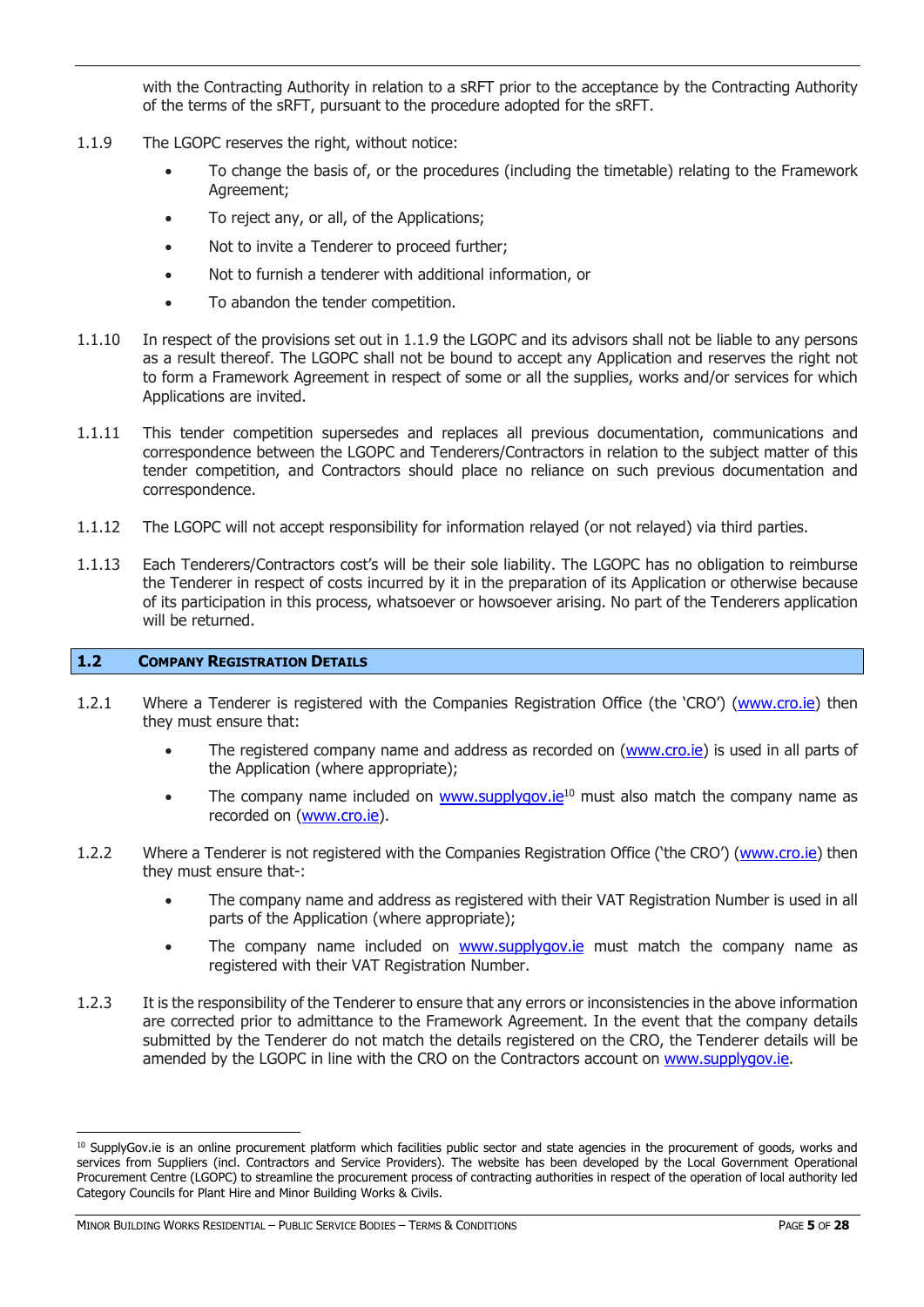with the Contracting Authority in relation to a sRFT prior to the acceptance by the Contracting Authority of the terms of the sRFT, pursuant to the procedure adopted for the sRFT.

- 1.1.9 The LGOPC reserves the right, without notice:
	- To change the basis of, or the procedures (including the timetable) relating to the Framework Agreement;
	- To reject any, or all, of the Applications;
	- Not to invite a Tenderer to proceed further:
	- Not to furnish a tenderer with additional information, or
	- To abandon the tender competition.
- 1.1.10 In respect of the provisions set out in 1.1.9 the LGOPC and its advisors shall not be liable to any persons as a result thereof. The LGOPC shall not be bound to accept any Application and reserves the right not to form a Framework Agreement in respect of some or all the supplies, works and/or services for which Applications are invited.
- 1.1.11 This tender competition supersedes and replaces all previous documentation, communications and correspondence between the LGOPC and Tenderers/Contractors in relation to the subject matter of this tender competition, and Contractors should place no reliance on such previous documentation and correspondence.
- 1.1.12 The LGOPC will not accept responsibility for information relayed (or not relayed) via third parties.
- 1.1.13 Each Tenderers/Contractors cost's will be their sole liability. The LGOPC has no obligation to reimburse the Tenderer in respect of costs incurred by it in the preparation of its Application or otherwise because of its participation in this process, whatsoever or howsoever arising. No part of the Tenderers application will be returned.

#### **1.2 COMPANY REGISTRATION DETAILS**

- 1.2.1 Where a Tenderer is registered with the Companies Registration Office (the 'CRO') (www.cro.ie) then they must ensure that:
	- The registered company name and address as recorded on (www.cro.ie) is used in all parts of the Application (where appropriate);
	- The company name included on www.supplygov.je $10$  must also match the company name as recorded on (www.cro.ie).
- 1.2.2 Where a Tenderer is not registered with the Companies Registration Office ('the CRO') (www.cro.ie) then they must ensure that-:
	- The company name and address as registered with their VAT Registration Number is used in all parts of the Application (where appropriate);
	- The company name included on www.supplygov.ie must match the company name as registered with their VAT Registration Number.
- 1.2.3 It is the responsibility of the Tenderer to ensure that any errors or inconsistencies in the above information are corrected prior to admittance to the Framework Agreement. In the event that the company details submitted by the Tenderer do not match the details registered on the CRO, the Tenderer details will be amended by the LGOPC in line with the CRO on the Contractors account on www.supplygov.ie.

<sup>&</sup>lt;sup>10</sup> SupplyGov.ie is an online procurement platform which facilities public sector and state agencies in the procurement of goods, works and services from Suppliers (incl. Contractors and Service Providers). The website has been developed by the Local Government Operational Procurement Centre (LGOPC) to streamline the procurement process of contracting authorities in respect of the operation of local authority led Category Councils for Plant Hire and Minor Building Works & Civils.

MINOR BUILDING WORKS RESIDENTIAL – PUBLIC SERVICE BODIES – TERMS & CONDITIONS PAGE **5** OF **28**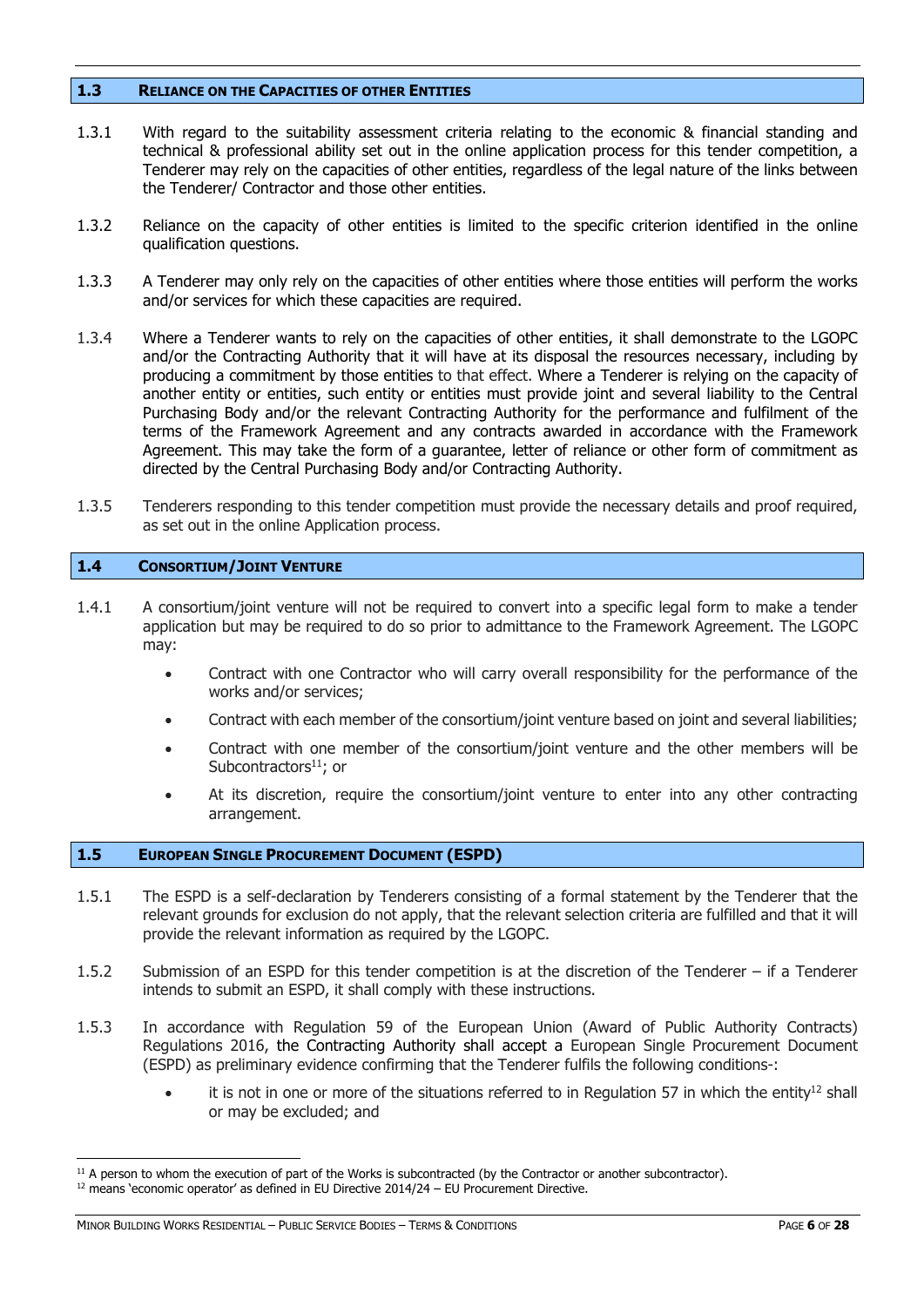#### **1.3 RELIANCE ON THE CAPACITIES OF OTHER ENTITIES**

- 1.3.1 With regard to the suitability assessment criteria relating to the economic & financial standing and technical & professional ability set out in the online application process for this tender competition, a Tenderer may rely on the capacities of other entities, regardless of the legal nature of the links between the Tenderer/ Contractor and those other entities.
- 1.3.2 Reliance on the capacity of other entities is limited to the specific criterion identified in the online qualification questions.
- 1.3.3 A Tenderer may only rely on the capacities of other entities where those entities will perform the works and/or services for which these capacities are required.
- 1.3.4 Where a Tenderer wants to rely on the capacities of other entities, it shall demonstrate to the LGOPC and/or the Contracting Authority that it will have at its disposal the resources necessary, including by producing a commitment by those entities to that effect. Where a Tenderer is relying on the capacity of another entity or entities, such entity or entities must provide joint and several liability to the Central Purchasing Body and/or the relevant Contracting Authority for the performance and fulfilment of the terms of the Framework Agreement and any contracts awarded in accordance with the Framework Agreement. This may take the form of a guarantee, letter of reliance or other form of commitment as directed by the Central Purchasing Body and/or Contracting Authority.
- 1.3.5 Tenderers responding to this tender competition must provide the necessary details and proof required, as set out in the online Application process.

#### **1.4 CONSORTIUM/JOINT VENTURE**

- 1.4.1 A consortium/joint venture will not be required to convert into a specific legal form to make a tender application but may be required to do so prior to admittance to the Framework Agreement. The LGOPC may:
	- Contract with one Contractor who will carry overall responsibility for the performance of the works and/or services;
	- Contract with each member of the consortium/joint venture based on joint and several liabilities;
	- Contract with one member of the consortium/joint venture and the other members will be Subcontractors $11$ ; or
	- At its discretion, require the consortium/joint venture to enter into any other contracting arrangement.

#### **1.5 EUROPEAN SINGLE PROCUREMENT DOCUMENT (ESPD)**

- 1.5.1 The ESPD is a self-declaration by Tenderers consisting of a formal statement by the Tenderer that the relevant grounds for exclusion do not apply, that the relevant selection criteria are fulfilled and that it will provide the relevant information as required by the LGOPC.
- 1.5.2 Submission of an ESPD for this tender competition is at the discretion of the Tenderer if a Tenderer intends to submit an ESPD, it shall comply with these instructions.
- 1.5.3 In accordance with Regulation 59 of the European Union (Award of Public Authority Contracts) Regulations 2016, the Contracting Authority shall accept a European Single Procurement Document (ESPD) as preliminary evidence confirming that the Tenderer fulfils the following conditions-:
	- it is not in one or more of the situations referred to in Regulation 57 in which the entity<sup>12</sup> shall or may be excluded; and

<sup>&</sup>lt;sup>11</sup> A person to whom the execution of part of the Works is subcontracted (by the Contractor or another subcontractor). <sup>12</sup> means 'economic operator' as defined in EU Directive 2014/24 – EU Procurement Directive.

MINOR BUILDING WORKS RESIDENTIAL – PUBLIC SERVICE BODIES – TERMS & CONDITIONS PAGE **6** OF **28**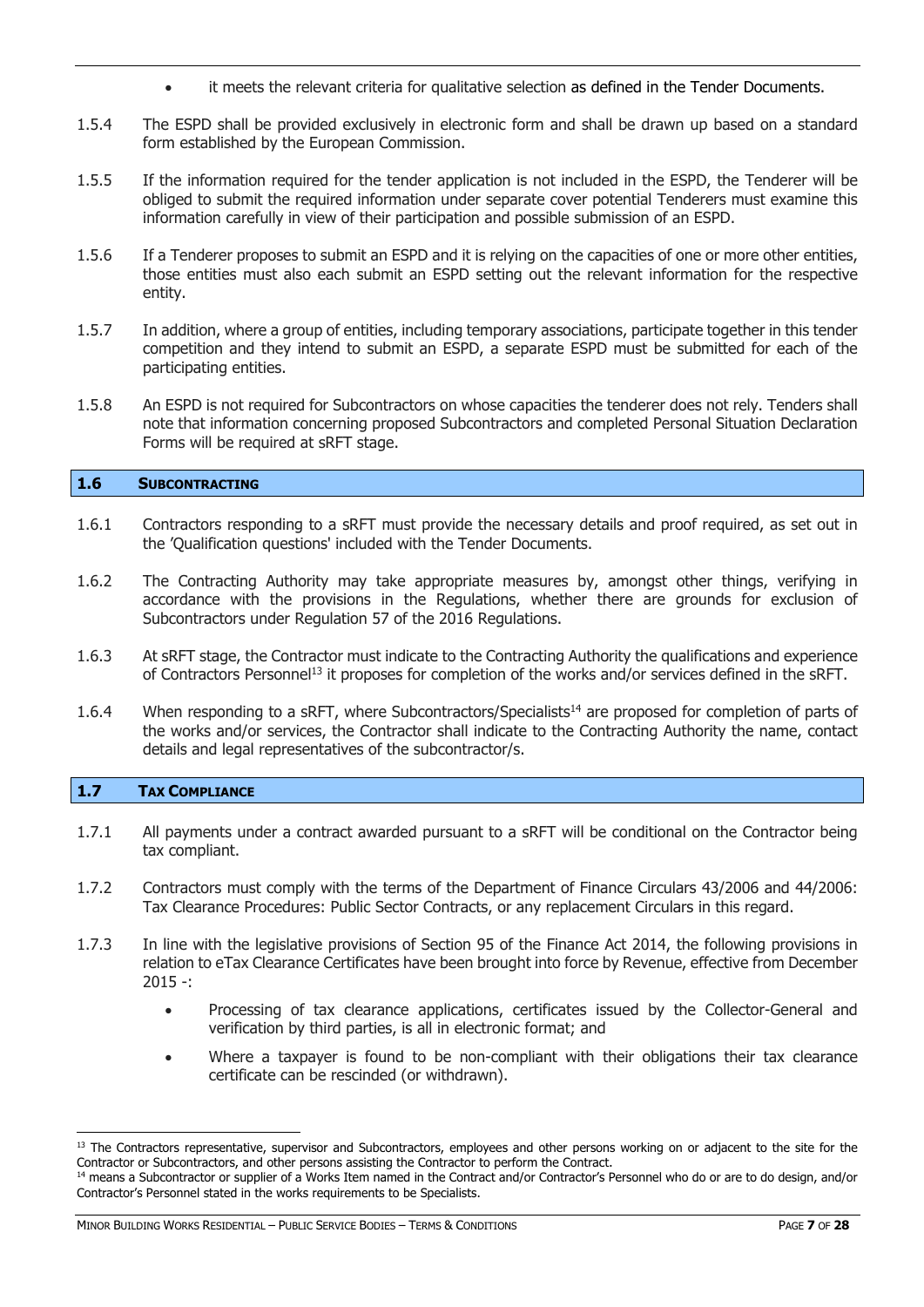- it meets the relevant criteria for qualitative selection as defined in the Tender Documents.
- 1.5.4 The ESPD shall be provided exclusively in electronic form and shall be drawn up based on a standard form established by the European Commission.
- 1.5.5 If the information required for the tender application is not included in the ESPD, the Tenderer will be obliged to submit the required information under separate cover potential Tenderers must examine this information carefully in view of their participation and possible submission of an ESPD.
- 1.5.6 If a Tenderer proposes to submit an ESPD and it is relying on the capacities of one or more other entities, those entities must also each submit an ESPD setting out the relevant information for the respective entity.
- 1.5.7 In addition, where a group of entities, including temporary associations, participate together in this tender competition and they intend to submit an ESPD, a separate ESPD must be submitted for each of the participating entities.
- 1.5.8 An ESPD is not required for Subcontractors on whose capacities the tenderer does not rely. Tenders shall note that information concerning proposed Subcontractors and completed Personal Situation Declaration Forms will be required at sRFT stage.

#### **1.6 SUBCONTRACTING**

- 1.6.1 Contractors responding to a sRFT must provide the necessary details and proof required, as set out in the 'Qualification questions' included with the Tender Documents.
- 1.6.2 The Contracting Authority may take appropriate measures by, amongst other things, verifying in accordance with the provisions in the Regulations, whether there are grounds for exclusion of Subcontractors under Regulation 57 of the 2016 Regulations.
- 1.6.3 At sRFT stage, the Contractor must indicate to the Contracting Authority the qualifications and experience of Contractors Personnel13 it proposes for completion of the works and/or services defined in the sRFT.
- 1.6.4 When responding to a sRFT, where Subcontractors/Specialists<sup>14</sup> are proposed for completion of parts of the works and/or services, the Contractor shall indicate to the Contracting Authority the name, contact details and legal representatives of the subcontractor/s.

### **1.7 TAX COMPLIANCE**

- 1.7.1 All payments under a contract awarded pursuant to a sRFT will be conditional on the Contractor being tax compliant.
- 1.7.2 Contractors must comply with the terms of the Department of Finance Circulars 43/2006 and 44/2006: Tax Clearance Procedures: Public Sector Contracts, or any replacement Circulars in this regard.
- 1.7.3 In line with the legislative provisions of Section 95 of the Finance Act 2014, the following provisions in relation to eTax Clearance Certificates have been brought into force by Revenue, effective from December  $2015 -$ :
	- Processing of tax clearance applications, certificates issued by the Collector-General and verification by third parties, is all in electronic format; and
	- Where a taxpayer is found to be non-compliant with their obligations their tax clearance certificate can be rescinded (or withdrawn).

<sup>&</sup>lt;sup>13</sup> The Contractors representative, supervisor and Subcontractors, employees and other persons working on or adjacent to the site for the Contractor or Subcontractors, and other persons assisting the Contractor to perform the Contract.<br><sup>14</sup> means a Subcontractor or supplier of a Works Item named in the Contract and/or Contractor's Personnel who do or are to

Contractor's Personnel stated in the works requirements to be Specialists.

MINOR BUILDING WORKS RESIDENTIAL – PUBLIC SERVICE BODIES – TERMS & CONDITIONS PAGE **7** OF **28**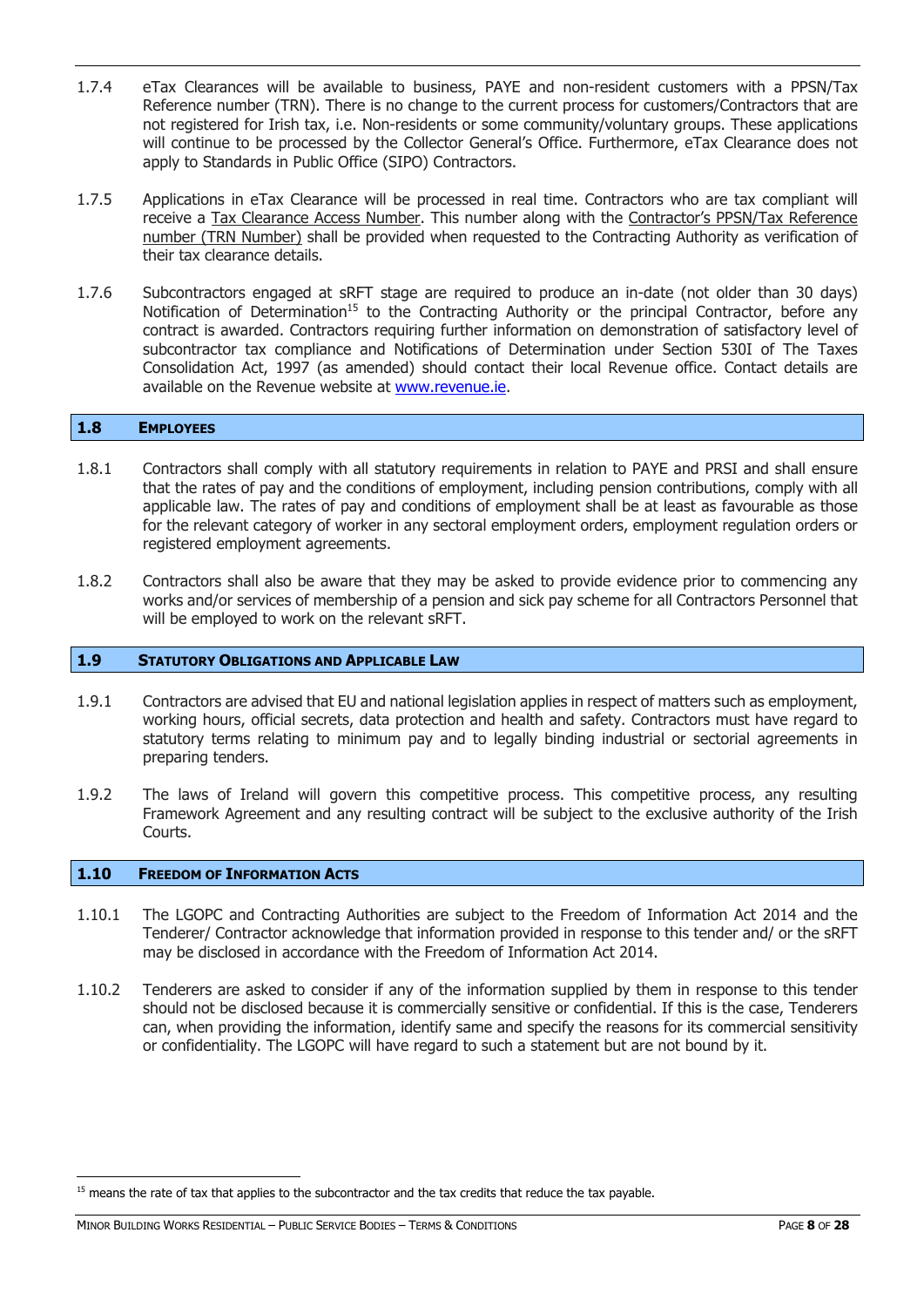- 1.7.4 eTax Clearances will be available to business, PAYE and non-resident customers with a PPSN/Tax Reference number (TRN). There is no change to the current process for customers/Contractors that are not registered for Irish tax, i.e. Non-residents or some community/voluntary groups. These applications will continue to be processed by the Collector General's Office. Furthermore, eTax Clearance does not apply to Standards in Public Office (SIPO) Contractors.
- 1.7.5 Applications in eTax Clearance will be processed in real time. Contractors who are tax compliant will receive a Tax Clearance Access Number. This number along with the Contractor's PPSN/Tax Reference number (TRN Number) shall be provided when requested to the Contracting Authority as verification of their tax clearance details.
- 1.7.6 Subcontractors engaged at sRFT stage are required to produce an in-date (not older than 30 days) Notification of Determination<sup>15</sup> to the Contracting Authority or the principal Contractor, before any contract is awarded. Contractors requiring further information on demonstration of satisfactory level of subcontractor tax compliance and Notifications of Determination under Section 530I of The Taxes Consolidation Act, 1997 (as amended) should contact their local Revenue office. Contact details are available on the Revenue website at www.revenue.ie.

#### **1.8 EMPLOYEES**

- 1.8.1 Contractors shall comply with all statutory requirements in relation to PAYE and PRSI and shall ensure that the rates of pay and the conditions of employment, including pension contributions, comply with all applicable law. The rates of pay and conditions of employment shall be at least as favourable as those for the relevant category of worker in any sectoral employment orders, employment regulation orders or registered employment agreements.
- 1.8.2 Contractors shall also be aware that they may be asked to provide evidence prior to commencing any works and/or services of membership of a pension and sick pay scheme for all Contractors Personnel that will be employed to work on the relevant sRFT.

#### **1.9 STATUTORY OBLIGATIONS AND APPLICABLE LAW**

- 1.9.1 Contractors are advised that EU and national legislation applies in respect of matters such as employment, working hours, official secrets, data protection and health and safety. Contractors must have regard to statutory terms relating to minimum pay and to legally binding industrial or sectorial agreements in preparing tenders.
- 1.9.2 The laws of Ireland will govern this competitive process. This competitive process, any resulting Framework Agreement and any resulting contract will be subject to the exclusive authority of the Irish Courts.

# **1.10 FREEDOM OF INFORMATION ACTS**

- 1.10.1 The LGOPC and Contracting Authorities are subject to the Freedom of Information Act 2014 and the Tenderer/ Contractor acknowledge that information provided in response to this tender and/ or the sRFT may be disclosed in accordance with the Freedom of Information Act 2014.
- 1.10.2 Tenderers are asked to consider if any of the information supplied by them in response to this tender should not be disclosed because it is commercially sensitive or confidential. If this is the case, Tenderers can, when providing the information, identify same and specify the reasons for its commercial sensitivity or confidentiality. The LGOPC will have regard to such a statement but are not bound by it.

<sup>&</sup>lt;sup>15</sup> means the rate of tax that applies to the subcontractor and the tax credits that reduce the tax payable.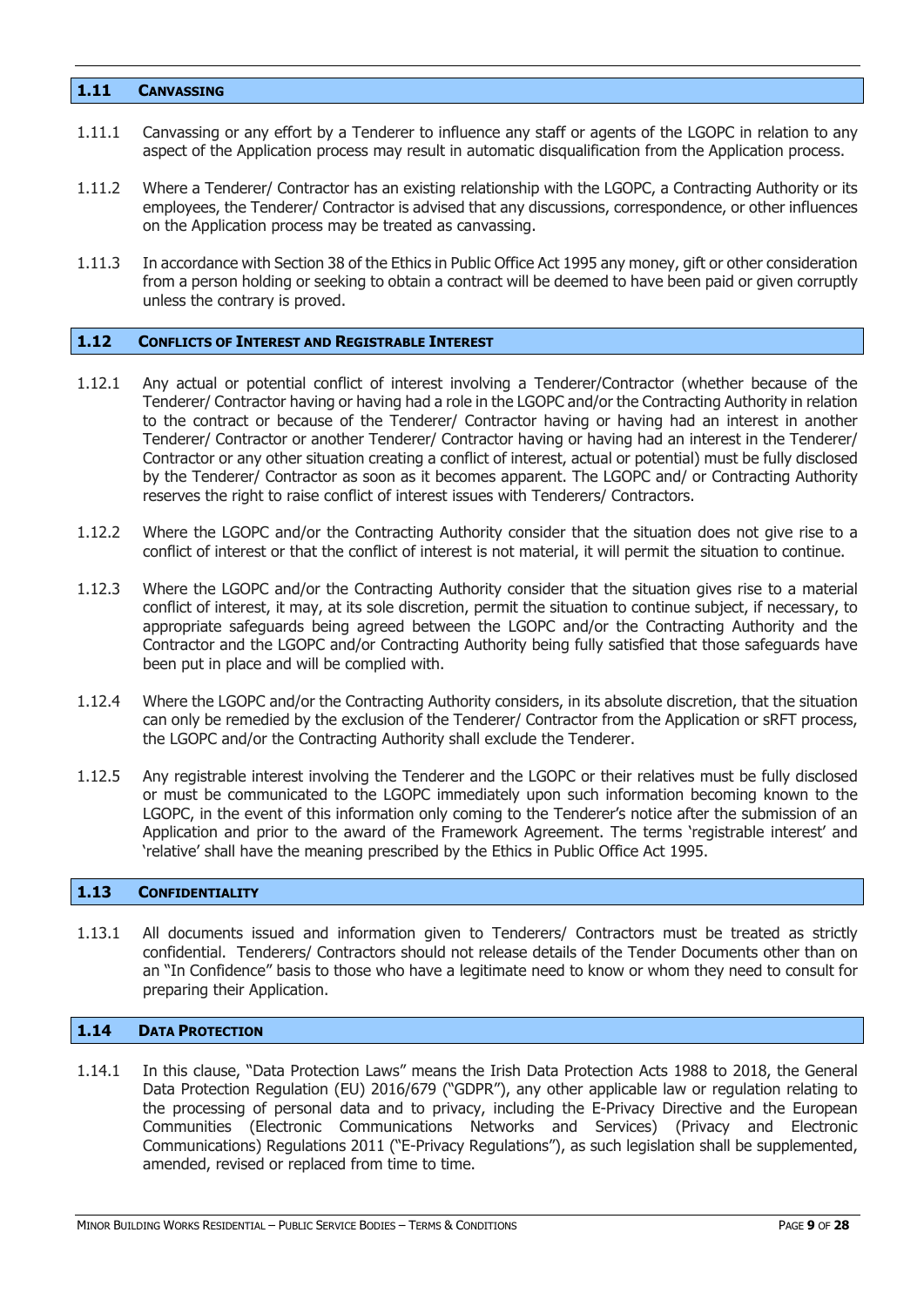### **1.11 CANVASSING**

- 1.11.1 Canvassing or any effort by a Tenderer to influence any staff or agents of the LGOPC in relation to any aspect of the Application process may result in automatic disqualification from the Application process.
- 1.11.2 Where a Tenderer/ Contractor has an existing relationship with the LGOPC, a Contracting Authority or its employees, the Tenderer/ Contractor is advised that any discussions, correspondence, or other influences on the Application process may be treated as canvassing.
- 1.11.3 In accordance with Section 38 of the Ethics in Public Office Act 1995 any money, gift or other consideration from a person holding or seeking to obtain a contract will be deemed to have been paid or given corruptly unless the contrary is proved.

#### **1.12 CONFLICTS OF INTEREST AND REGISTRABLE INTEREST**

- 1.12.1 Any actual or potential conflict of interest involving a Tenderer/Contractor (whether because of the Tenderer/ Contractor having or having had a role in the LGOPC and/or the Contracting Authority in relation to the contract or because of the Tenderer/ Contractor having or having had an interest in another Tenderer/ Contractor or another Tenderer/ Contractor having or having had an interest in the Tenderer/ Contractor or any other situation creating a conflict of interest, actual or potential) must be fully disclosed by the Tenderer/ Contractor as soon as it becomes apparent. The LGOPC and/ or Contracting Authority reserves the right to raise conflict of interest issues with Tenderers/ Contractors.
- 1.12.2 Where the LGOPC and/or the Contracting Authority consider that the situation does not give rise to a conflict of interest or that the conflict of interest is not material, it will permit the situation to continue.
- 1.12.3 Where the LGOPC and/or the Contracting Authority consider that the situation gives rise to a material conflict of interest, it may, at its sole discretion, permit the situation to continue subject, if necessary, to appropriate safeguards being agreed between the LGOPC and/or the Contracting Authority and the Contractor and the LGOPC and/or Contracting Authority being fully satisfied that those safeguards have been put in place and will be complied with.
- 1.12.4 Where the LGOPC and/or the Contracting Authority considers, in its absolute discretion, that the situation can only be remedied by the exclusion of the Tenderer/ Contractor from the Application or sRFT process, the LGOPC and/or the Contracting Authority shall exclude the Tenderer.
- 1.12.5 Any registrable interest involving the Tenderer and the LGOPC or their relatives must be fully disclosed or must be communicated to the LGOPC immediately upon such information becoming known to the LGOPC, in the event of this information only coming to the Tenderer's notice after the submission of an Application and prior to the award of the Framework Agreement. The terms 'registrable interest' and 'relative' shall have the meaning prescribed by the Ethics in Public Office Act 1995.

#### **1.13 CONFIDENTIALITY**

1.13.1 All documents issued and information given to Tenderers/ Contractors must be treated as strictly confidential. Tenderers/ Contractors should not release details of the Tender Documents other than on an "In Confidence" basis to those who have a legitimate need to know or whom they need to consult for preparing their Application.

# **1.14 DATA PROTECTION**

1.14.1 In this clause, "Data Protection Laws" means the Irish Data Protection Acts 1988 to 2018, the General Data Protection Regulation (EU) 2016/679 ("GDPR"), any other applicable law or regulation relating to the processing of personal data and to privacy, including the E-Privacy Directive and the European Communities (Electronic Communications Networks and Services) (Privacy and Electronic Communications) Regulations 2011 ("E-Privacy Regulations"), as such legislation shall be supplemented, amended, revised or replaced from time to time.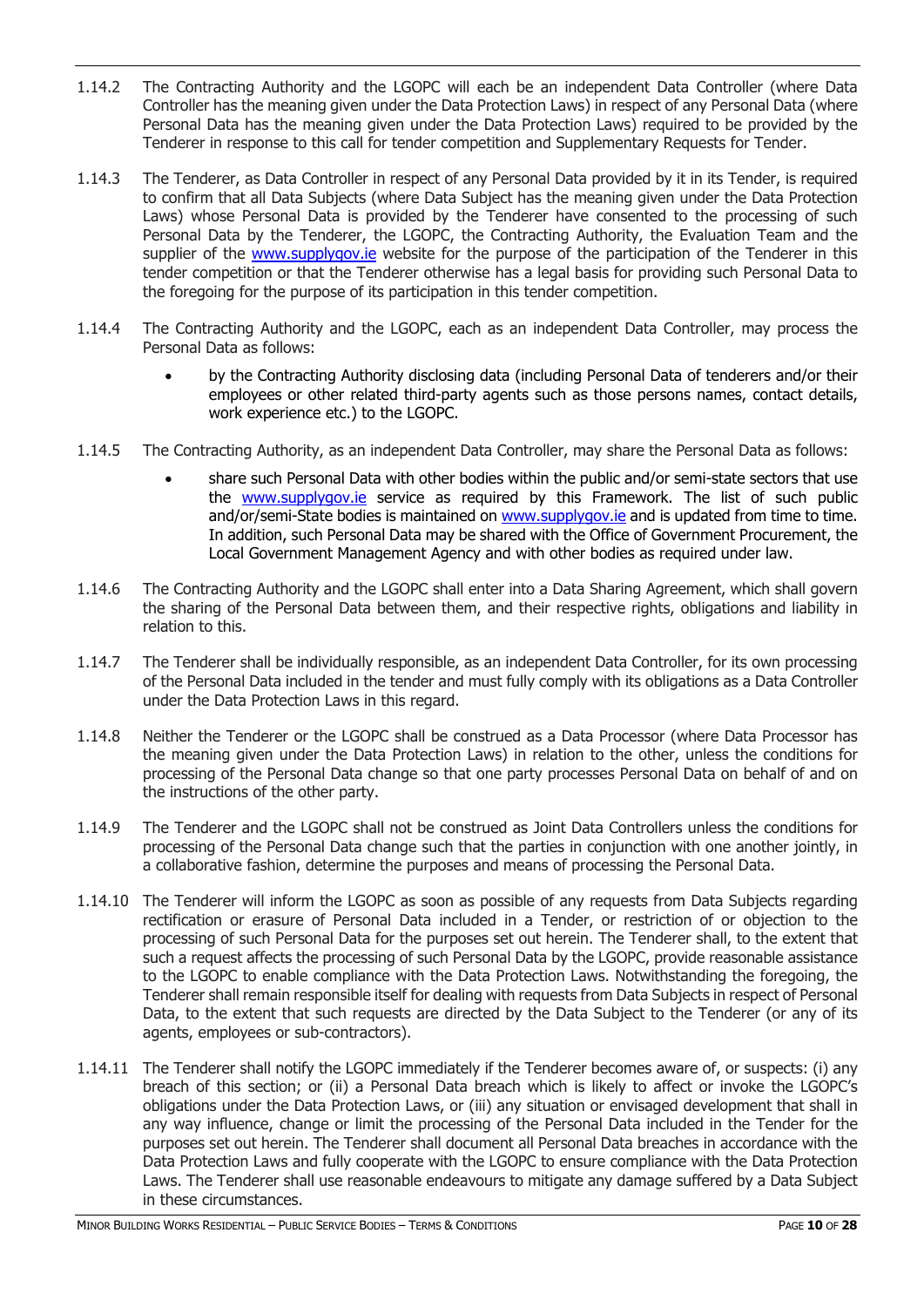- 1.14.2 The Contracting Authority and the LGOPC will each be an independent Data Controller (where Data Controller has the meaning given under the Data Protection Laws) in respect of any Personal Data (where Personal Data has the meaning given under the Data Protection Laws) required to be provided by the Tenderer in response to this call for tender competition and Supplementary Requests for Tender.
- 1.14.3 The Tenderer, as Data Controller in respect of any Personal Data provided by it in its Tender, is required to confirm that all Data Subjects (where Data Subject has the meaning given under the Data Protection Laws) whose Personal Data is provided by the Tenderer have consented to the processing of such Personal Data by the Tenderer, the LGOPC, the Contracting Authority, the Evaluation Team and the supplier of the www.supplygov.ie website for the purpose of the participation of the Tenderer in this tender competition or that the Tenderer otherwise has a legal basis for providing such Personal Data to the foregoing for the purpose of its participation in this tender competition.
- 1.14.4 The Contracting Authority and the LGOPC, each as an independent Data Controller, may process the Personal Data as follows:
	- by the Contracting Authority disclosing data (including Personal Data of tenderers and/or their employees or other related third-party agents such as those persons names, contact details, work experience etc.) to the LGOPC.
- 1.14.5 The Contracting Authority, as an independent Data Controller, may share the Personal Data as follows:
	- share such Personal Data with other bodies within the public and/or semi-state sectors that use the www.supplygov.ie service as required by this Framework. The list of such public and/or/semi-State bodies is maintained on **www.supplygov.ie** and is updated from time to time. In addition, such Personal Data may be shared with the Office of Government Procurement, the Local Government Management Agency and with other bodies as required under law.
- 1.14.6 The Contracting Authority and the LGOPC shall enter into a Data Sharing Agreement, which shall govern the sharing of the Personal Data between them, and their respective rights, obligations and liability in relation to this.
- 1.14.7 The Tenderer shall be individually responsible, as an independent Data Controller, for its own processing of the Personal Data included in the tender and must fully comply with its obligations as a Data Controller under the Data Protection Laws in this regard.
- 1.14.8 Neither the Tenderer or the LGOPC shall be construed as a Data Processor (where Data Processor has the meaning given under the Data Protection Laws) in relation to the other, unless the conditions for processing of the Personal Data change so that one party processes Personal Data on behalf of and on the instructions of the other party.
- 1.14.9 The Tenderer and the LGOPC shall not be construed as Joint Data Controllers unless the conditions for processing of the Personal Data change such that the parties in conjunction with one another jointly, in a collaborative fashion, determine the purposes and means of processing the Personal Data.
- 1.14.10 The Tenderer will inform the LGOPC as soon as possible of any requests from Data Subjects regarding rectification or erasure of Personal Data included in a Tender, or restriction of or objection to the processing of such Personal Data for the purposes set out herein. The Tenderer shall, to the extent that such a request affects the processing of such Personal Data by the LGOPC, provide reasonable assistance to the LGOPC to enable compliance with the Data Protection Laws. Notwithstanding the foregoing, the Tenderer shall remain responsible itself for dealing with requests from Data Subjects in respect of Personal Data, to the extent that such requests are directed by the Data Subject to the Tenderer (or any of its agents, employees or sub-contractors).
- 1.14.11 The Tenderer shall notify the LGOPC immediately if the Tenderer becomes aware of, or suspects: (i) any breach of this section; or (ii) a Personal Data breach which is likely to affect or invoke the LGOPC's obligations under the Data Protection Laws, or (iii) any situation or envisaged development that shall in any way influence, change or limit the processing of the Personal Data included in the Tender for the purposes set out herein. The Tenderer shall document all Personal Data breaches in accordance with the Data Protection Laws and fully cooperate with the LGOPC to ensure compliance with the Data Protection Laws. The Tenderer shall use reasonable endeavours to mitigate any damage suffered by a Data Subject in these circumstances.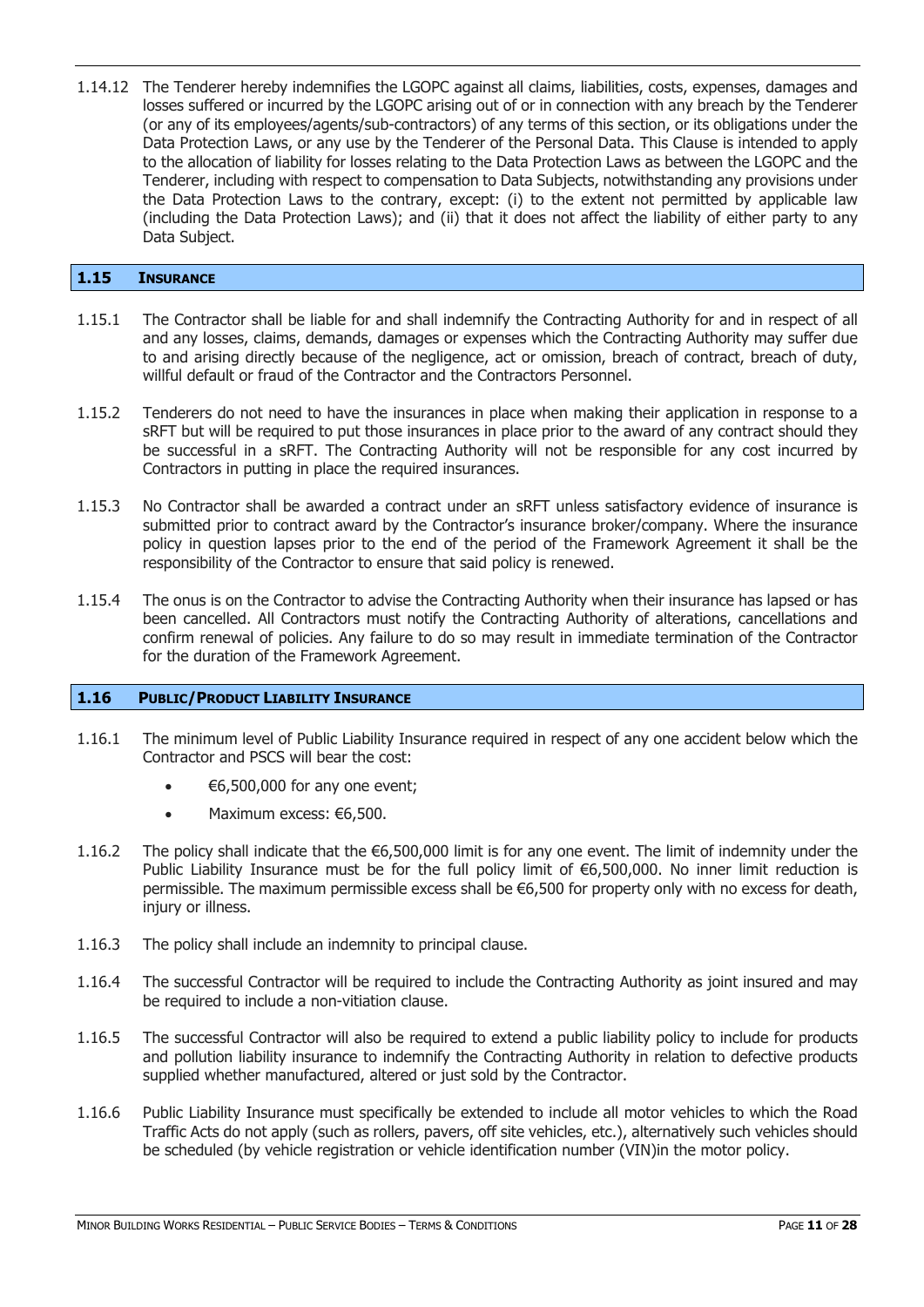1.14.12 The Tenderer hereby indemnifies the LGOPC against all claims, liabilities, costs, expenses, damages and losses suffered or incurred by the LGOPC arising out of or in connection with any breach by the Tenderer (or any of its employees/agents/sub-contractors) of any terms of this section, or its obligations under the Data Protection Laws, or any use by the Tenderer of the Personal Data. This Clause is intended to apply to the allocation of liability for losses relating to the Data Protection Laws as between the LGOPC and the Tenderer, including with respect to compensation to Data Subjects, notwithstanding any provisions under the Data Protection Laws to the contrary, except: (i) to the extent not permitted by applicable law (including the Data Protection Laws); and (ii) that it does not affect the liability of either party to any Data Subject.

#### **1.15 INSURANCE**

- 1.15.1 The Contractor shall be liable for and shall indemnify the Contracting Authority for and in respect of all and any losses, claims, demands, damages or expenses which the Contracting Authority may suffer due to and arising directly because of the negligence, act or omission, breach of contract, breach of duty, willful default or fraud of the Contractor and the Contractors Personnel.
- 1.15.2 Tenderers do not need to have the insurances in place when making their application in response to a sRFT but will be required to put those insurances in place prior to the award of any contract should they be successful in a sRFT. The Contracting Authority will not be responsible for any cost incurred by Contractors in putting in place the required insurances.
- 1.15.3 No Contractor shall be awarded a contract under an sRFT unless satisfactory evidence of insurance is submitted prior to contract award by the Contractor's insurance broker/company. Where the insurance policy in question lapses prior to the end of the period of the Framework Agreement it shall be the responsibility of the Contractor to ensure that said policy is renewed.
- 1.15.4 The onus is on the Contractor to advise the Contracting Authority when their insurance has lapsed or has been cancelled. All Contractors must notify the Contracting Authority of alterations, cancellations and confirm renewal of policies. Any failure to do so may result in immediate termination of the Contractor for the duration of the Framework Agreement.

#### **1.16 PUBLIC/PRODUCT LIABILITY INSURANCE**

- 1.16.1 The minimum level of Public Liability Insurance required in respect of any one accident below which the Contractor and PSCS will bear the cost:
	- €6,500,000 for any one event;
	- $\bullet$  Maximum excess:  $\epsilon$ 6,500.
- 1.16.2 The policy shall indicate that the €6,500,000 limit is for any one event. The limit of indemnity under the Public Liability Insurance must be for the full policy limit of €6,500,000. No inner limit reduction is permissible. The maximum permissible excess shall be  $\epsilon$ 6,500 for property only with no excess for death, injury or illness.
- 1.16.3 The policy shall include an indemnity to principal clause.
- 1.16.4 The successful Contractor will be required to include the Contracting Authority as joint insured and may be required to include a non-vitiation clause.
- 1.16.5 The successful Contractor will also be required to extend a public liability policy to include for products and pollution liability insurance to indemnify the Contracting Authority in relation to defective products supplied whether manufactured, altered or just sold by the Contractor.
- 1.16.6 Public Liability Insurance must specifically be extended to include all motor vehicles to which the Road Traffic Acts do not apply (such as rollers, pavers, off site vehicles, etc.), alternatively such vehicles should be scheduled (by vehicle registration or vehicle identification number (VIN)in the motor policy.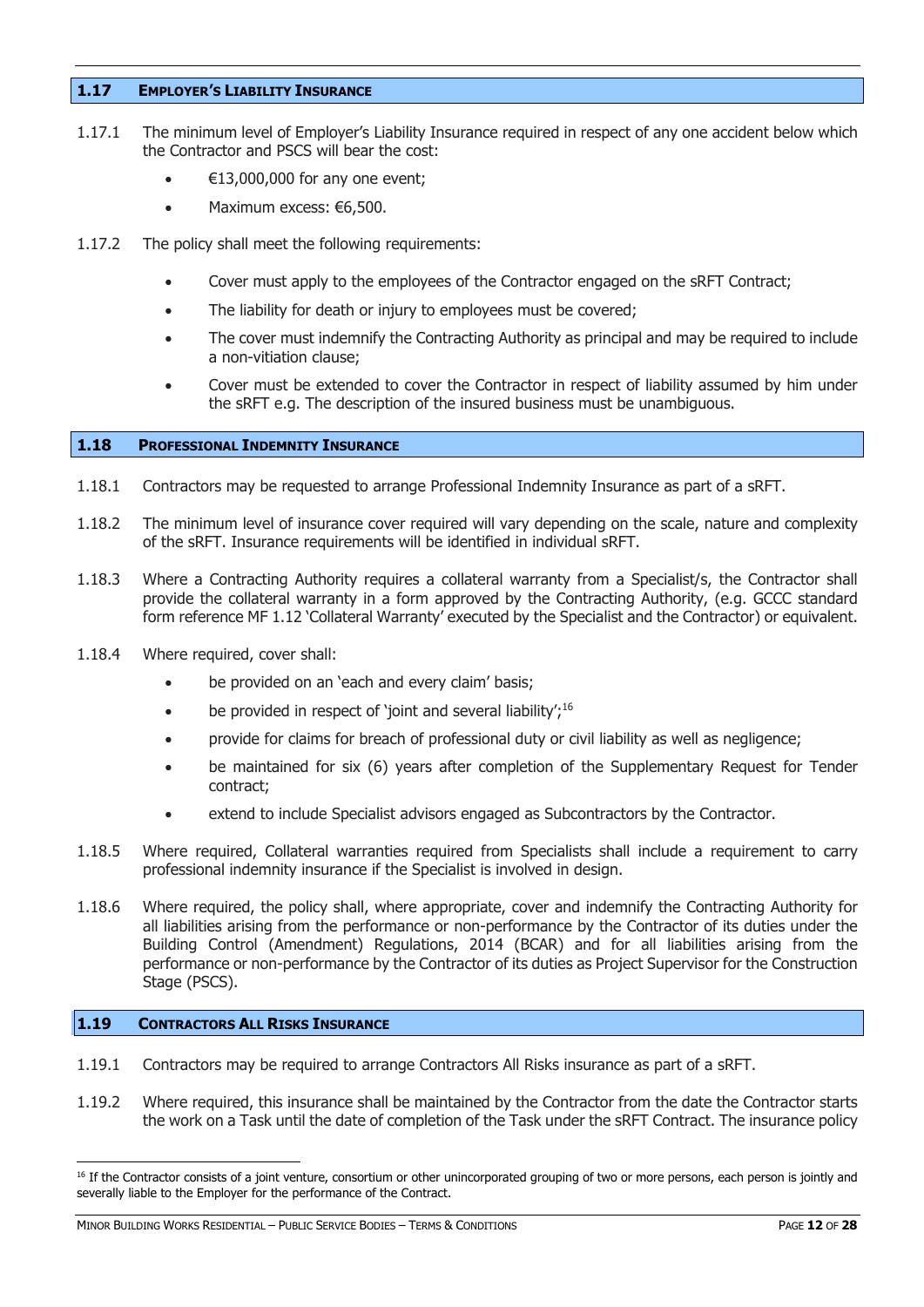### **1.17 EMPLOYER'S LIABILITY INSURANCE**

- 1.17.1 The minimum level of Employer's Liability Insurance required in respect of any one accident below which the Contractor and PSCS will bear the cost:
	- €13,000,000 for any one event;
	- Maximum excess: €6,500.
- 1.17.2 The policy shall meet the following requirements:
	- Cover must apply to the employees of the Contractor engaged on the sRFT Contract;
	- The liability for death or injury to employees must be covered;
	- The cover must indemnify the Contracting Authority as principal and may be required to include a non-vitiation clause;
	- Cover must be extended to cover the Contractor in respect of liability assumed by him under the sRFT e.g. The description of the insured business must be unambiguous.

#### **1.18 PROFESSIONAL INDEMNITY INSURANCE**

- 1.18.1 Contractors may be requested to arrange Professional Indemnity Insurance as part of a sRFT.
- 1.18.2 The minimum level of insurance cover required will vary depending on the scale, nature and complexity of the sRFT. Insurance requirements will be identified in individual sRFT.
- 1.18.3 Where a Contracting Authority requires a collateral warranty from a Specialist/s, the Contractor shall provide the collateral warranty in a form approved by the Contracting Authority, (e.g. GCCC standard form reference MF 1.12 'Collateral Warranty' executed by the Specialist and the Contractor) or equivalent.
- 1.18.4 Where required, cover shall:
	- be provided on an 'each and every claim' basis;
	- $\bullet$  be provided in respect of 'joint and several liability';<sup>16</sup>
	- provide for claims for breach of professional duty or civil liability as well as negligence;
	- be maintained for six (6) years after completion of the Supplementary Request for Tender contract;
	- extend to include Specialist advisors engaged as Subcontractors by the Contractor.
- 1.18.5 Where required, Collateral warranties required from Specialists shall include a requirement to carry professional indemnity insurance if the Specialist is involved in design.
- 1.18.6 Where required, the policy shall, where appropriate, cover and indemnify the Contracting Authority for all liabilities arising from the performance or non-performance by the Contractor of its duties under the Building Control (Amendment) Regulations, 2014 (BCAR) and for all liabilities arising from the performance or non-performance by the Contractor of its duties as Project Supervisor for the Construction Stage (PSCS).

#### **1.19 CONTRACTORS ALL RISKS INSURANCE**

- 1.19.1 Contractors may be required to arrange Contractors All Risks insurance as part of a sRFT.
- 1.19.2 Where required, this insurance shall be maintained by the Contractor from the date the Contractor starts the work on a Task until the date of completion of the Task under the sRFT Contract. The insurance policy

<sup>&</sup>lt;sup>16</sup> If the Contractor consists of a joint venture, consortium or other unincorporated grouping of two or more persons, each person is jointly and severally liable to the Employer for the performance of the Contract.

MINOR BUILDING WORKS RESIDENTIAL – PUBLIC SERVICE BODIES – TERMS & CONDITIONS PAGE **12** OF **28**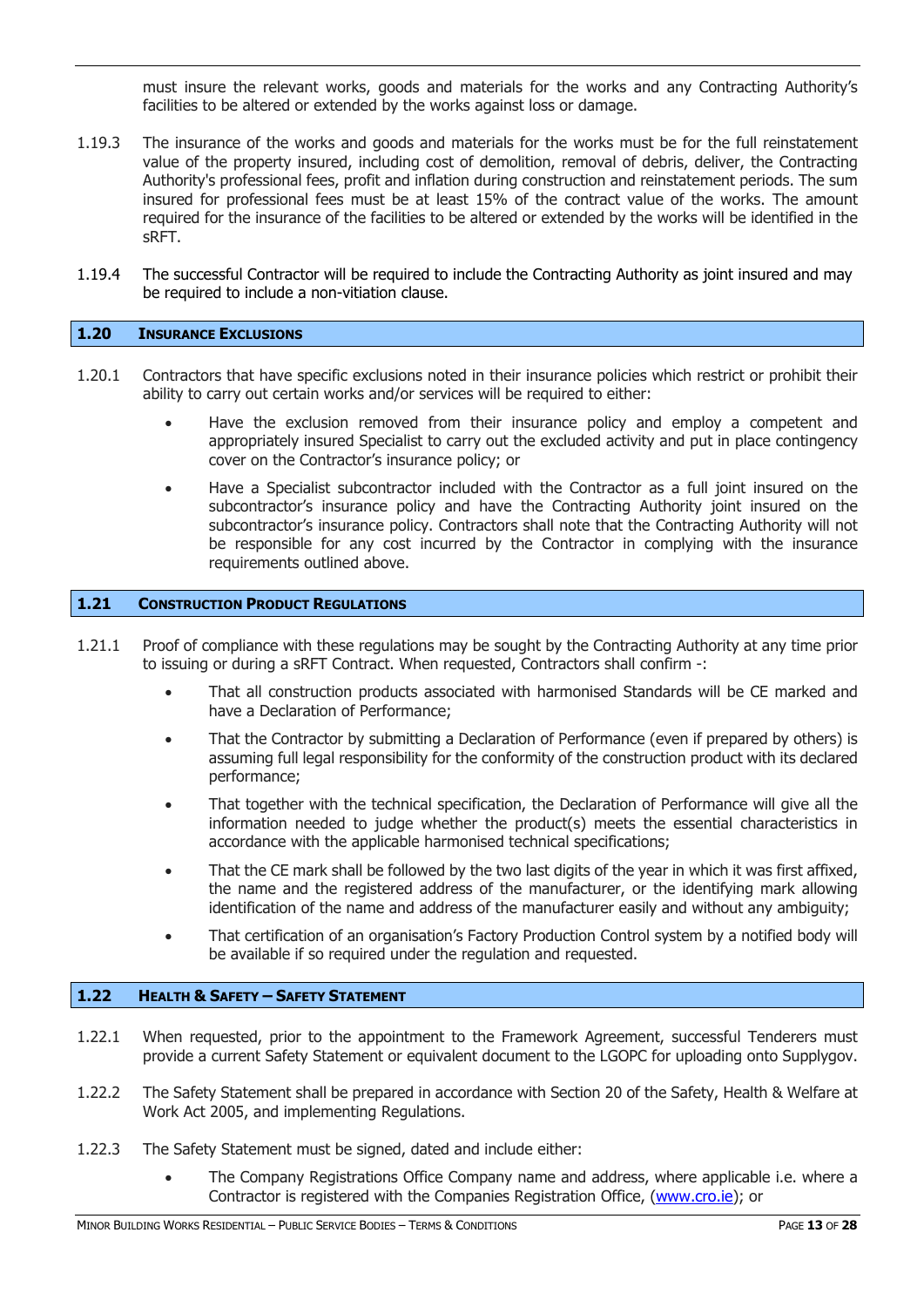must insure the relevant works, goods and materials for the works and any Contracting Authority's facilities to be altered or extended by the works against loss or damage.

- 1.19.3 The insurance of the works and goods and materials for the works must be for the full reinstatement value of the property insured, including cost of demolition, removal of debris, deliver, the Contracting Authority's professional fees, profit and inflation during construction and reinstatement periods. The sum insured for professional fees must be at least 15% of the contract value of the works. The amount required for the insurance of the facilities to be altered or extended by the works will be identified in the sRFT.
- 1.19.4 The successful Contractor will be required to include the Contracting Authority as joint insured and may be required to include a non-vitiation clause.

# **1.20 INSURANCE EXCLUSIONS**

- 1.20.1 Contractors that have specific exclusions noted in their insurance policies which restrict or prohibit their ability to carry out certain works and/or services will be required to either:
	- Have the exclusion removed from their insurance policy and employ a competent and appropriately insured Specialist to carry out the excluded activity and put in place contingency cover on the Contractor's insurance policy; or
	- Have a Specialist subcontractor included with the Contractor as a full joint insured on the subcontractor's insurance policy and have the Contracting Authority joint insured on the subcontractor's insurance policy. Contractors shall note that the Contracting Authority will not be responsible for any cost incurred by the Contractor in complying with the insurance requirements outlined above.

# **1.21 CONSTRUCTION PRODUCT REGULATIONS**

- 1.21.1 Proof of compliance with these regulations may be sought by the Contracting Authority at any time prior to issuing or during a sRFT Contract. When requested, Contractors shall confirm -:
	- That all construction products associated with harmonised Standards will be CE marked and have a Declaration of Performance;
	- That the Contractor by submitting a Declaration of Performance (even if prepared by others) is assuming full legal responsibility for the conformity of the construction product with its declared performance;
	- That together with the technical specification, the Declaration of Performance will give all the information needed to judge whether the product(s) meets the essential characteristics in accordance with the applicable harmonised technical specifications;
	- That the CE mark shall be followed by the two last digits of the year in which it was first affixed, the name and the registered address of the manufacturer, or the identifying mark allowing identification of the name and address of the manufacturer easily and without any ambiguity;
	- That certification of an organisation's Factory Production Control system by a notified body will be available if so required under the regulation and requested.

# **1.22 HEALTH & SAFETY – SAFETY STATEMENT**

- 1.22.1 When requested, prior to the appointment to the Framework Agreement, successful Tenderers must provide a current Safety Statement or equivalent document to the LGOPC for uploading onto Supplygov.
- 1.22.2 The Safety Statement shall be prepared in accordance with Section 20 of the Safety, Health & Welfare at Work Act 2005, and implementing Regulations.
- 1.22.3 The Safety Statement must be signed, dated and include either:
	- The Company Registrations Office Company name and address, where applicable i.e. where a Contractor is registered with the Companies Registration Office, (www.cro.ie); or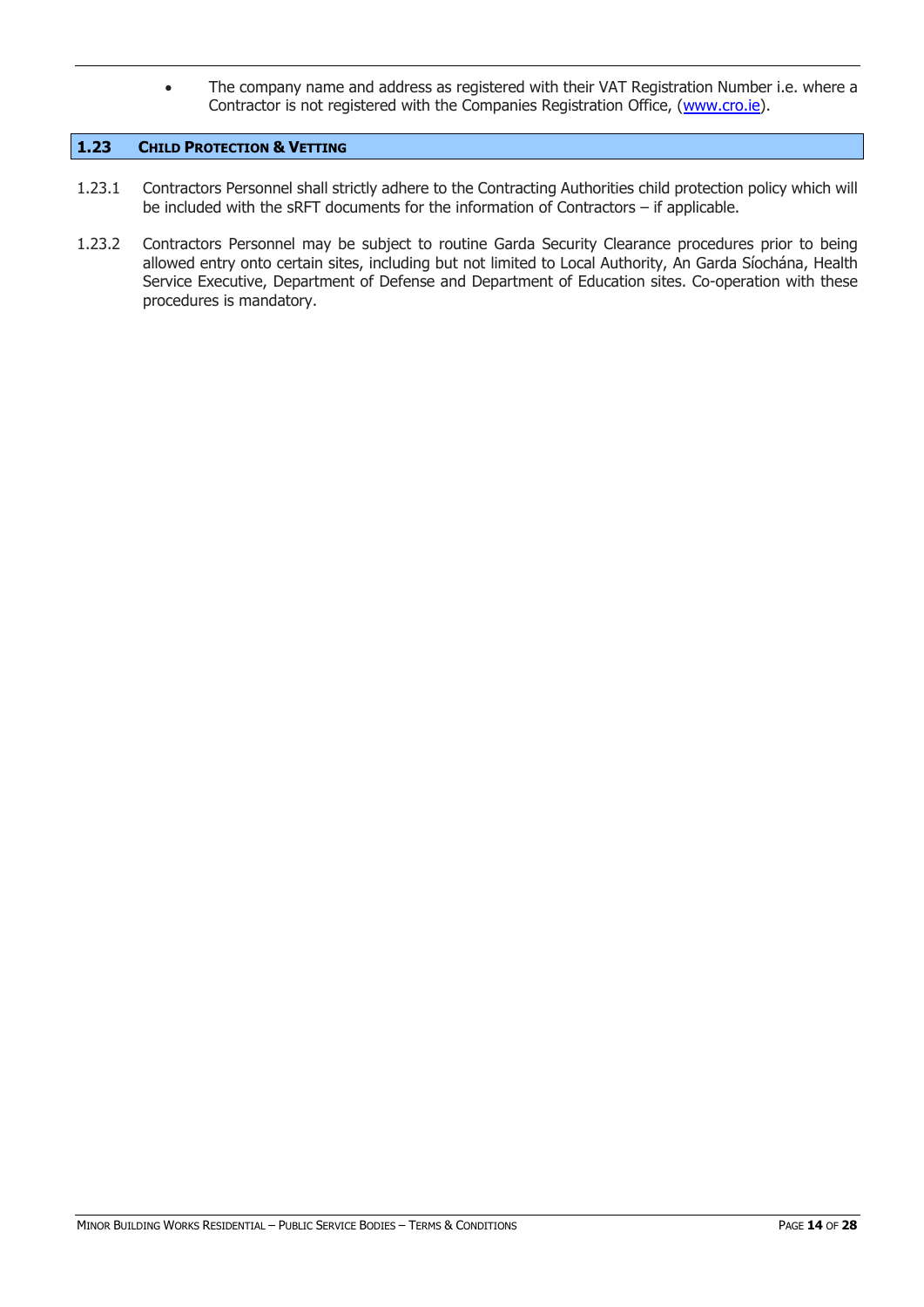The company name and address as registered with their VAT Registration Number i.e. where a Contractor is not registered with the Companies Registration Office, (www.cro.ie).

# **1.23 CHILD PROTECTION & VETTING**

- 1.23.1 Contractors Personnel shall strictly adhere to the Contracting Authorities child protection policy which will be included with the sRFT documents for the information of Contractors – if applicable.
- 1.23.2 Contractors Personnel may be subject to routine Garda Security Clearance procedures prior to being allowed entry onto certain sites, including but not limited to Local Authority, An Garda Síochána, Health Service Executive, Department of Defense and Department of Education sites. Co-operation with these procedures is mandatory.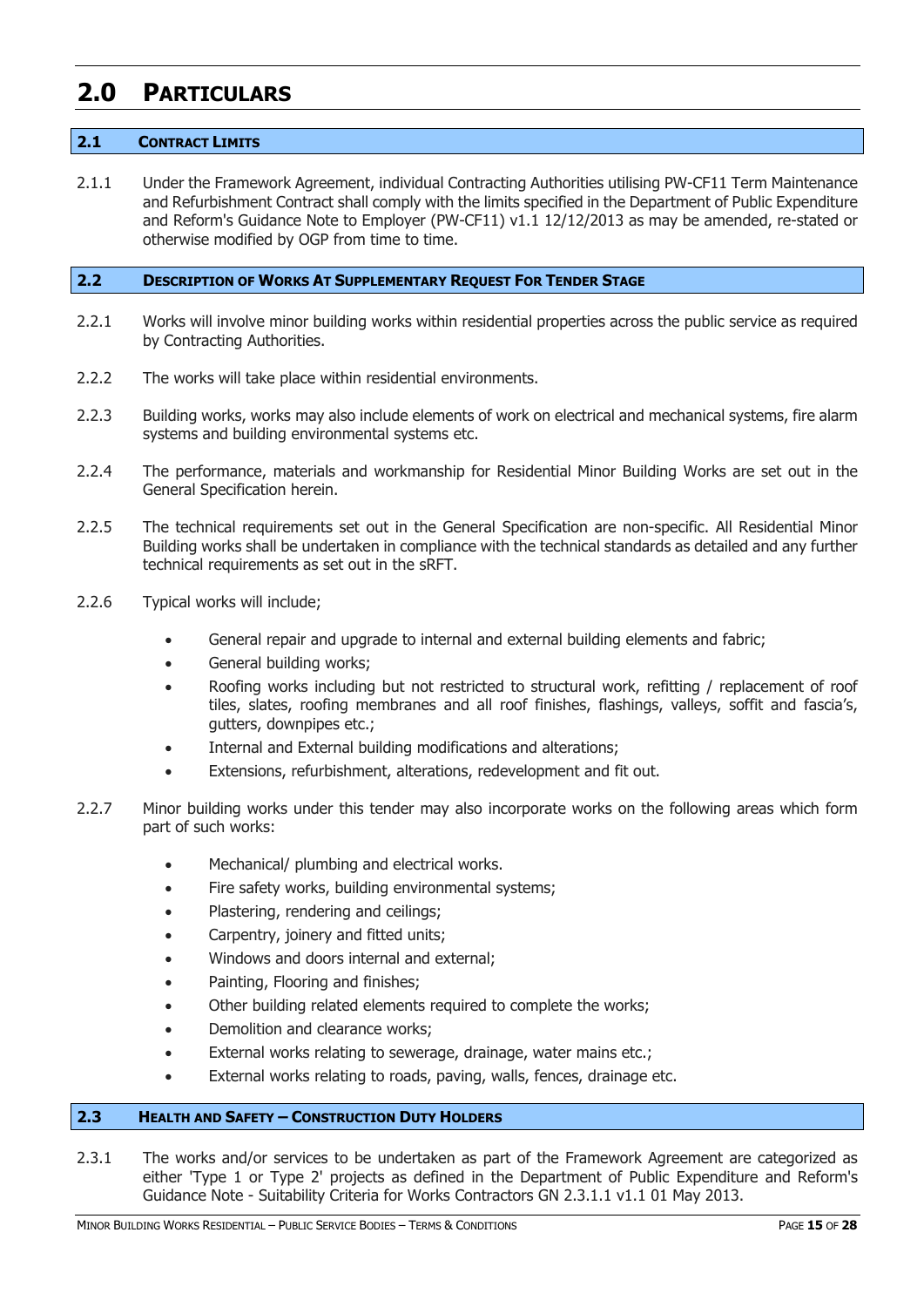# **2.0 PARTICULARS**

# **2.1 CONTRACT LIMITS**

2.1.1 Under the Framework Agreement, individual Contracting Authorities utilising PW-CF11 Term Maintenance and Refurbishment Contract shall comply with the limits specified in the Department of Public Expenditure and Reform's Guidance Note to Employer (PW-CF11) v1.1 12/12/2013 as may be amended, re-stated or otherwise modified by OGP from time to time.

# **2.2 DESCRIPTION OF WORKS AT SUPPLEMENTARY REQUEST FOR TENDER STAGE**

- 2.2.1 Works will involve minor building works within residential properties across the public service as required by Contracting Authorities.
- 2.2.2 The works will take place within residential environments.
- 2.2.3 Building works, works may also include elements of work on electrical and mechanical systems, fire alarm systems and building environmental systems etc.
- 2.2.4 The performance, materials and workmanship for Residential Minor Building Works are set out in the General Specification herein.
- 2.2.5 The technical requirements set out in the General Specification are non-specific. All Residential Minor Building works shall be undertaken in compliance with the technical standards as detailed and any further technical requirements as set out in the sRFT.
- 2.2.6 Typical works will include;
	- General repair and upgrade to internal and external building elements and fabric;
	- General building works;
	- Roofing works including but not restricted to structural work, refitting / replacement of roof tiles, slates, roofing membranes and all roof finishes, flashings, valleys, soffit and fascia's, gutters, downpipes etc.;
	- Internal and External building modifications and alterations;
	- Extensions, refurbishment, alterations, redevelopment and fit out.
- 2.2.7 Minor building works under this tender may also incorporate works on the following areas which form part of such works:
	- Mechanical/ plumbing and electrical works.
	- Fire safety works, building environmental systems;
	- Plastering, rendering and ceilings;
	- Carpentry, joinery and fitted units;
	- Windows and doors internal and external;
	- Painting, Flooring and finishes;
	- Other building related elements required to complete the works;
	- Demolition and clearance works;
	- External works relating to sewerage, drainage, water mains etc.;
	- External works relating to roads, paving, walls, fences, drainage etc.

# **2.3 HEALTH AND SAFETY – CONSTRUCTION DUTY HOLDERS**

2.3.1 The works and/or services to be undertaken as part of the Framework Agreement are categorized as either 'Type 1 or Type 2' projects as defined in the Department of Public Expenditure and Reform's Guidance Note - Suitability Criteria for Works Contractors GN 2.3.1.1 v1.1 01 May 2013.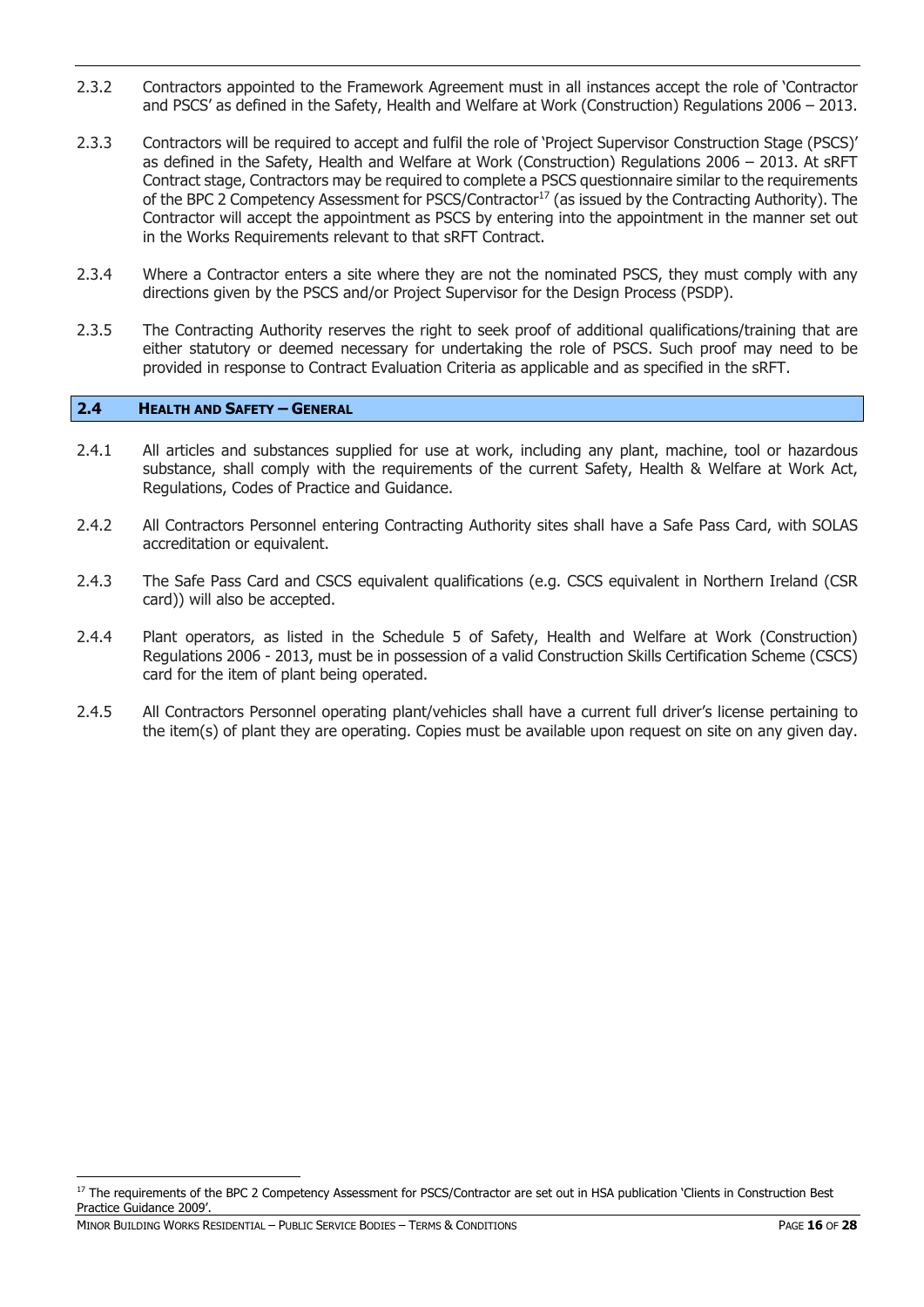- 2.3.2 Contractors appointed to the Framework Agreement must in all instances accept the role of 'Contractor and PSCS' as defined in the Safety, Health and Welfare at Work (Construction) Regulations 2006 – 2013.
- 2.3.3 Contractors will be required to accept and fulfil the role of 'Project Supervisor Construction Stage (PSCS)' as defined in the Safety, Health and Welfare at Work (Construction) Regulations 2006 – 2013. At sRFT Contract stage, Contractors may be required to complete a PSCS questionnaire similar to the requirements of the BPC 2 Competency Assessment for PSCS/Contractor<sup>17</sup> (as issued by the Contracting Authority). The Contractor will accept the appointment as PSCS by entering into the appointment in the manner set out in the Works Requirements relevant to that sRFT Contract.
- 2.3.4 Where a Contractor enters a site where they are not the nominated PSCS, they must comply with any directions given by the PSCS and/or Project Supervisor for the Design Process (PSDP).
- 2.3.5 The Contracting Authority reserves the right to seek proof of additional qualifications/training that are either statutory or deemed necessary for undertaking the role of PSCS. Such proof may need to be provided in response to Contract Evaluation Criteria as applicable and as specified in the sRFT.

## **2.4 HEALTH AND SAFETY – GENERAL**

- 2.4.1 All articles and substances supplied for use at work, including any plant, machine, tool or hazardous substance, shall comply with the requirements of the current Safety, Health & Welfare at Work Act, Regulations, Codes of Practice and Guidance.
- 2.4.2 All Contractors Personnel entering Contracting Authority sites shall have a Safe Pass Card, with SOLAS accreditation or equivalent.
- 2.4.3 The Safe Pass Card and CSCS equivalent qualifications (e.g. CSCS equivalent in Northern Ireland (CSR card)) will also be accepted.
- 2.4.4 Plant operators, as listed in the Schedule 5 of Safety, Health and Welfare at Work (Construction) Regulations 2006 - 2013, must be in possession of a valid Construction Skills Certification Scheme (CSCS) card for the item of plant being operated.
- 2.4.5 All Contractors Personnel operating plant/vehicles shall have a current full driver's license pertaining to the item(s) of plant they are operating. Copies must be available upon request on site on any given day.

MINOR BUILDING WORKS RESIDENTIAL – PUBLIC SERVICE BODIES – TERMS & CONDITIONS PAGE **16** OF **28**

<sup>&</sup>lt;sup>17</sup> The requirements of the BPC 2 Competency Assessment for PSCS/Contractor are set out in HSA publication 'Clients in Construction Best Practice Guidance 2009'.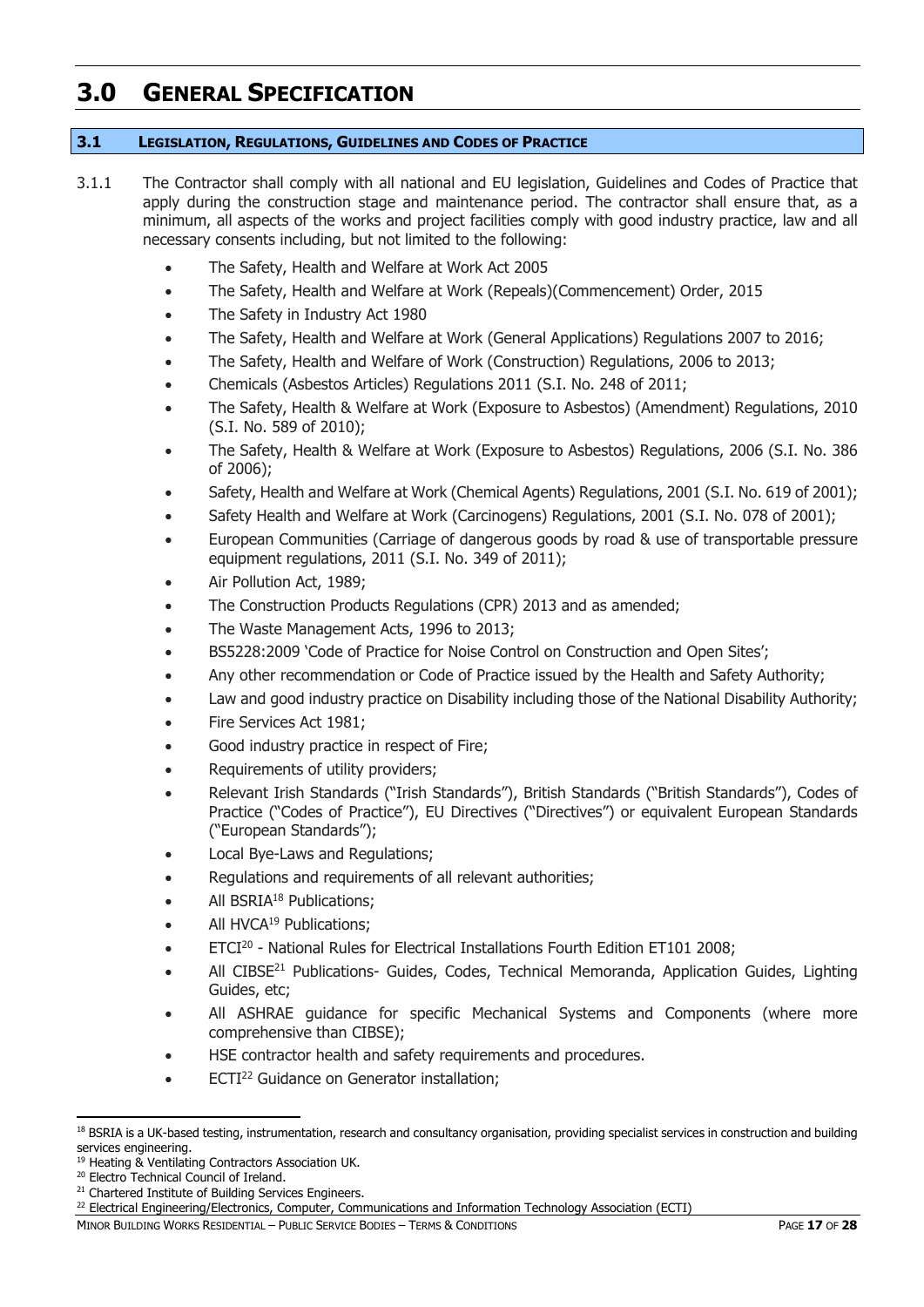# **3.0 GENERAL SPECIFICATION**

# **3.1 LEGISLATION, REGULATIONS, GUIDELINES AND CODES OF PRACTICE**

- 3.1.1 The Contractor shall comply with all national and EU legislation, Guidelines and Codes of Practice that apply during the construction stage and maintenance period. The contractor shall ensure that, as a minimum, all aspects of the works and project facilities comply with good industry practice, law and all necessary consents including, but not limited to the following:
	- The Safety, Health and Welfare at Work Act 2005
	- The Safety, Health and Welfare at Work (Repeals)(Commencement) Order, 2015
	- The Safety in Industry Act 1980
	- The Safety, Health and Welfare at Work (General Applications) Regulations 2007 to 2016;
	- The Safety, Health and Welfare of Work (Construction) Regulations, 2006 to 2013;
	- Chemicals (Asbestos Articles) Regulations 2011 (S.I. No. 248 of 2011;
	- The Safety, Health & Welfare at Work (Exposure to Asbestos) (Amendment) Regulations, 2010 (S.I. No. 589 of 2010);
	- The Safety, Health & Welfare at Work (Exposure to Asbestos) Regulations, 2006 (S.I. No. 386 of 2006);
	- Safety, Health and Welfare at Work (Chemical Agents) Regulations, 2001 (S.I. No. 619 of 2001);
	- Safety Health and Welfare at Work (Carcinogens) Regulations, 2001 (S.I. No. 078 of 2001);
	- European Communities (Carriage of dangerous goods by road & use of transportable pressure equipment regulations, 2011 (S.I. No. 349 of 2011);
	- Air Pollution Act, 1989;
	- The Construction Products Regulations (CPR) 2013 and as amended;
	- The Waste Management Acts, 1996 to 2013;
	- BS5228:2009 'Code of Practice for Noise Control on Construction and Open Sites';
	- Any other recommendation or Code of Practice issued by the Health and Safety Authority;
	- Law and good industry practice on Disability including those of the National Disability Authority;
	- Fire Services Act 1981;
	- Good industry practice in respect of Fire;
	- Requirements of utility providers;
	- Relevant Irish Standards ("Irish Standards"), British Standards ("British Standards"), Codes of Practice ("Codes of Practice"), EU Directives ("Directives") or equivalent European Standards ("European Standards");
	- Local Bye-Laws and Regulations;
	- Regulations and requirements of all relevant authorities;
	- All BSRIA<sup>18</sup> Publications;
	- All HVCA<sup>19</sup> Publications;
	- ETCI<sup>20</sup> National Rules for Electrical Installations Fourth Edition ET101 2008;
	- All CIBSE<sup>21</sup> Publications- Guides, Codes, Technical Memoranda, Application Guides, Lighting Guides, etc;
	- All ASHRAE guidance for specific Mechanical Systems and Components (where more comprehensive than CIBSE);
	- HSE contractor health and safety requirements and procedures.
	- ECTI<sup>22</sup> Guidance on Generator installation;

<sup>&</sup>lt;sup>18</sup> BSRIA is a UK-based testing, instrumentation, research and consultancy organisation, providing specialist services in construction and building services engineering.

<sup>&</sup>lt;sup>19</sup> Heating & Ventilating Contractors Association UK.

 $20$  Electro Technical Council of Ireland.<br> $21$  Chartered Institute of Building Services Engineers.

<sup>&</sup>lt;sup>22</sup> Electrical Engineering/Electronics, Computer, Communications and Information Technology Association (ECTI)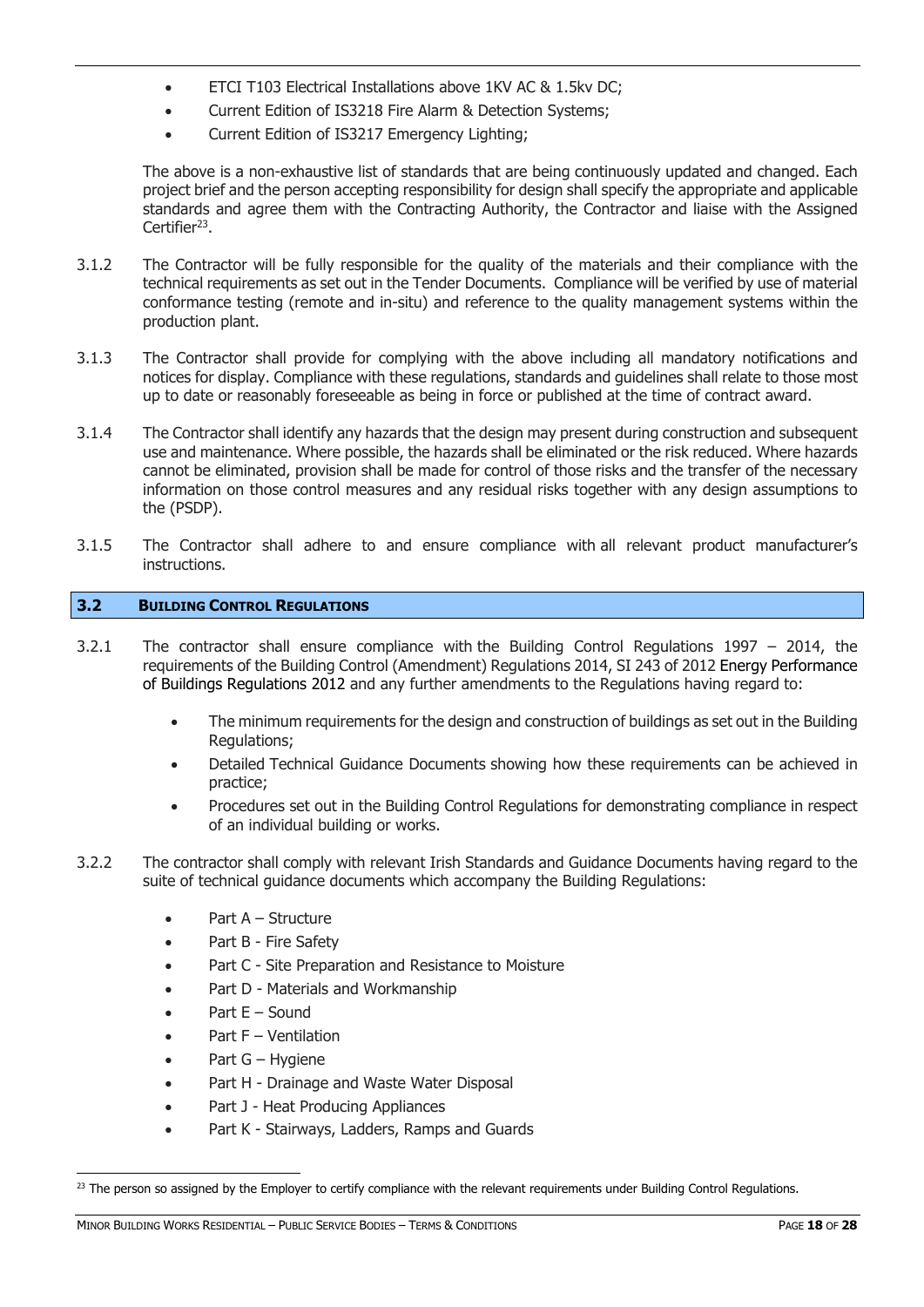- **ETCI T103 Electrical Installations above 1KV AC & 1.5kv DC;**
- Current Edition of IS3218 Fire Alarm & Detection Systems;
- Current Edition of IS3217 Emergency Lighting;

The above is a non-exhaustive list of standards that are being continuously updated and changed. Each project brief and the person accepting responsibility for design shall specify the appropriate and applicable standards and agree them with the Contracting Authority, the Contractor and liaise with the Assigned Certifier<sup>23</sup>.

- 3.1.2 The Contractor will be fully responsible for the quality of the materials and their compliance with the technical requirements as set out in the Tender Documents. Compliance will be verified by use of material conformance testing (remote and in-situ) and reference to the quality management systems within the production plant.
- 3.1.3 The Contractor shall provide for complying with the above including all mandatory notifications and notices for display. Compliance with these regulations, standards and guidelines shall relate to those most up to date or reasonably foreseeable as being in force or published at the time of contract award.
- 3.1.4 The Contractor shall identify any hazards that the design may present during construction and subsequent use and maintenance. Where possible, the hazards shall be eliminated or the risk reduced. Where hazards cannot be eliminated, provision shall be made for control of those risks and the transfer of the necessary information on those control measures and any residual risks together with any design assumptions to the (PSDP).
- 3.1.5 The Contractor shall adhere to and ensure compliance with all relevant product manufacturer's instructions.

# **3.2 BUILDING CONTROL REGULATIONS**

- 3.2.1 The contractor shall ensure compliance with the Building Control Regulations 1997 2014, the requirements of the Building Control (Amendment) Regulations 2014, SI 243 of 2012 Energy Performance of Buildings Regulations 2012 and any further amendments to the Regulations having regard to:
	- The minimum requirements for the design and construction of buildings as set out in the Building Regulations;
	- Detailed Technical Guidance Documents showing how these requirements can be achieved in practice;
	- Procedures set out in the Building Control Regulations for demonstrating compliance in respect of an individual building or works.
- 3.2.2 The contractor shall comply with relevant Irish Standards and Guidance Documents having regard to the suite of technical guidance documents which accompany the Building Regulations:
	- Part A Structure
	- Part B Fire Safety
	- Part C Site Preparation and Resistance to Moisture
	- Part D Materials and Workmanship
	- Part E Sound
	- Part F Ventilation
	- Part G Hygiene

- Part H Drainage and Waste Water Disposal
- Part J Heat Producing Appliances
- Part K Stairways, Ladders, Ramps and Guards

 $23$  The person so assigned by the Employer to certify compliance with the relevant requirements under Building Control Regulations.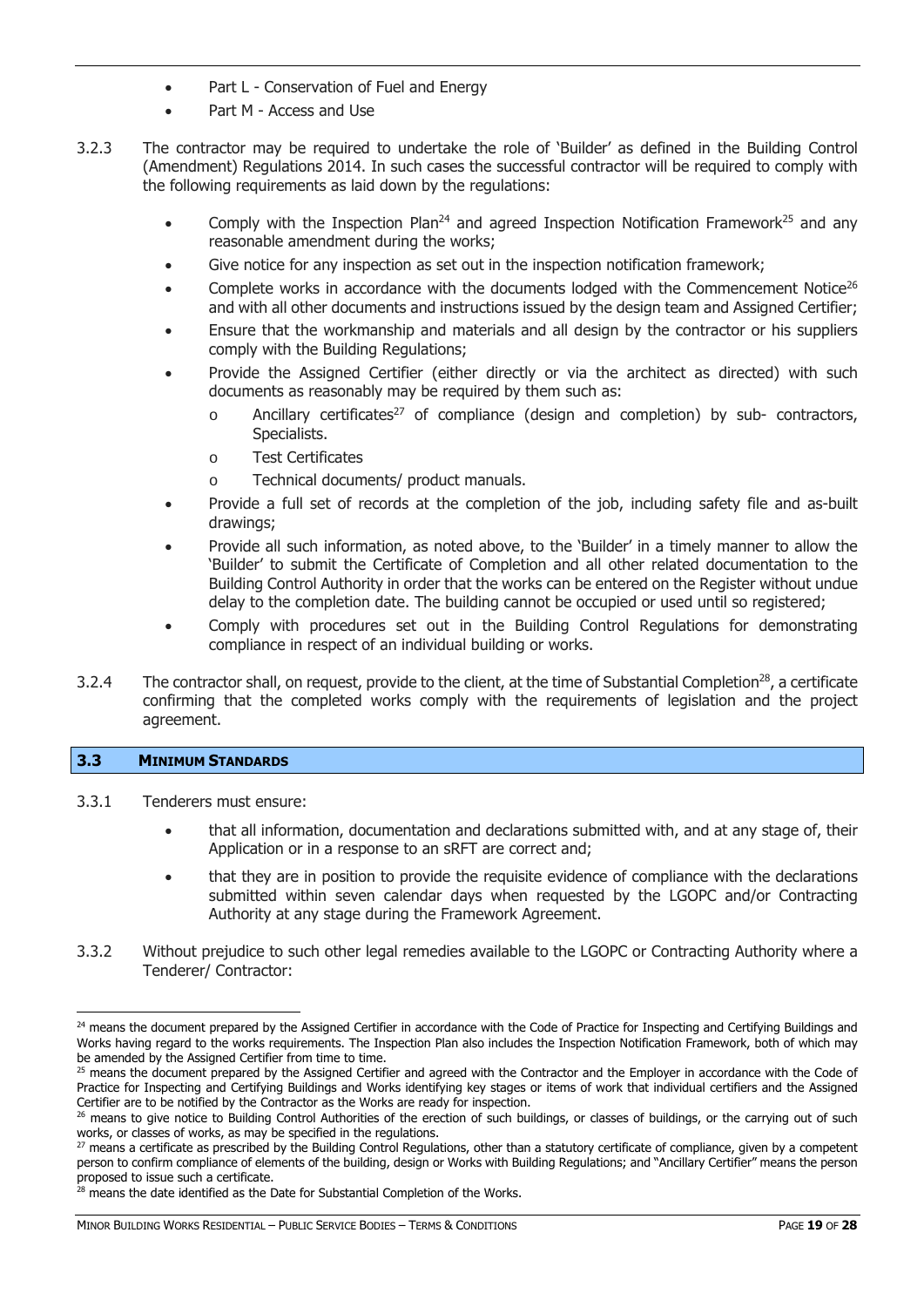- Part L Conservation of Fuel and Energy
- Part M Access and Use
- 3.2.3 The contractor may be required to undertake the role of 'Builder' as defined in the Building Control (Amendment) Regulations 2014. In such cases the successful contractor will be required to comply with the following requirements as laid down by the regulations:
	- Comply with the Inspection Plan<sup>24</sup> and agreed Inspection Notification Framework<sup>25</sup> and any reasonable amendment during the works;
	- Give notice for any inspection as set out in the inspection notification framework;
	- Complete works in accordance with the documents lodged with the Commencement Notice<sup>26</sup> and with all other documents and instructions issued by the design team and Assigned Certifier;
	- Ensure that the workmanship and materials and all design by the contractor or his suppliers comply with the Building Regulations;
	- Provide the Assigned Certifier (either directly or via the architect as directed) with such documents as reasonably may be required by them such as:
		- $\circ$  Ancillary certificates<sup>27</sup> of compliance (design and completion) by sub- contractors, Specialists.
		- o Test Certificates
		- o Technical documents/ product manuals.
	- Provide a full set of records at the completion of the job, including safety file and as-built drawings;
	- Provide all such information, as noted above, to the 'Builder' in a timely manner to allow the 'Builder' to submit the Certificate of Completion and all other related documentation to the Building Control Authority in order that the works can be entered on the Register without undue delay to the completion date. The building cannot be occupied or used until so registered;
	- Comply with procedures set out in the Building Control Regulations for demonstrating compliance in respect of an individual building or works.
- 3.2.4 The contractor shall, on request, provide to the client, at the time of Substantial Completion<sup>28</sup>, a certificate confirming that the completed works comply with the requirements of legislation and the project agreement.

# **3.3 MINIMUM STANDARDS**

- 3.3.1 Tenderers must ensure:
	- that all information, documentation and declarations submitted with, and at any stage of, their Application or in a response to an sRFT are correct and;
	- that they are in position to provide the requisite evidence of compliance with the declarations submitted within seven calendar days when requested by the LGOPC and/or Contracting Authority at any stage during the Framework Agreement.
- 3.3.2 Without prejudice to such other legal remedies available to the LGOPC or Contracting Authority where a Tenderer/ Contractor:

<sup>&</sup>lt;sup>24</sup> means the document prepared by the Assigned Certifier in accordance with the Code of Practice for Inspecting and Certifying Buildings and Works having regard to the works requirements. The Inspection Plan also includes the Inspection Notification Framework, both of which may be amended by the Assigned Certifier from time to time.

 $25$  means the document prepared by the Assigned Certifier and agreed with the Contractor and the Employer in accordance with the Code of Practice for Inspecting and Certifying Buildings and Works identifying key stages or items of work that individual certifiers and the Assigned Certifier are to be notified by the Contractor as the Works are ready for inspe

<sup>&</sup>lt;sup>26</sup> means to give notice to Building Control Authorities of the erection of such buildings, or classes of buildings, or the carrying out of such<br>works, or classes of works, as may be specified in the regulations.

 $^{27}$  means a certificate as prescribed by the Building Control Regulations, other than a statutory certificate of compliance, given by a competent person to confirm compliance of elements of the building, design or Works with Building Regulations; and "Ancillary Certifier" means the person proposed to issue such a certificate.

 $28$  means the date identified as the Date for Substantial Completion of the Works.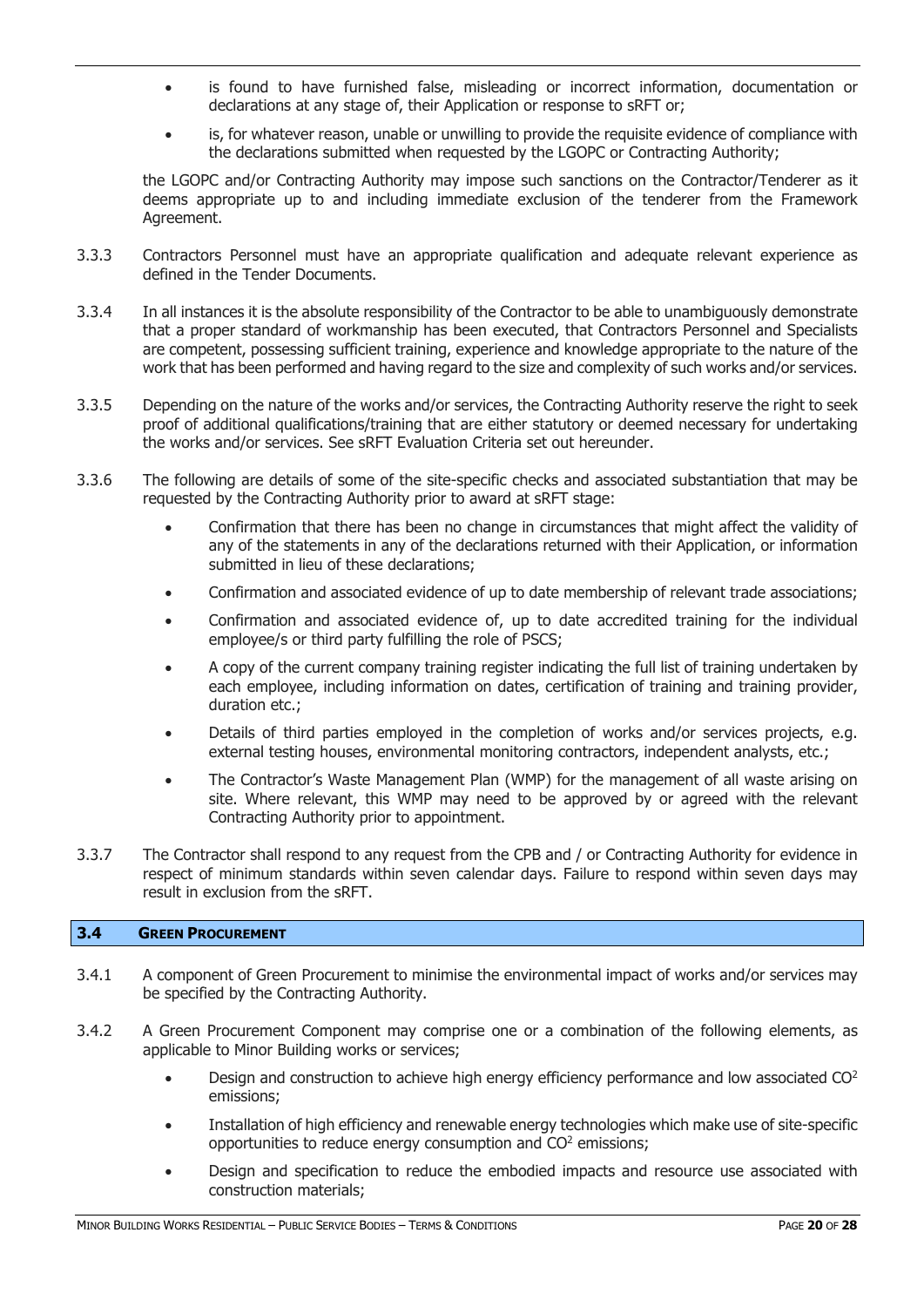- is found to have furnished false, misleading or incorrect information, documentation or declarations at any stage of, their Application or response to sRFT or;
- is, for whatever reason, unable or unwilling to provide the requisite evidence of compliance with the declarations submitted when requested by the LGOPC or Contracting Authority;

the LGOPC and/or Contracting Authority may impose such sanctions on the Contractor/Tenderer as it deems appropriate up to and including immediate exclusion of the tenderer from the Framework Agreement.

- 3.3.3 Contractors Personnel must have an appropriate qualification and adequate relevant experience as defined in the Tender Documents.
- 3.3.4 In all instances it is the absolute responsibility of the Contractor to be able to unambiguously demonstrate that a proper standard of workmanship has been executed, that Contractors Personnel and Specialists are competent, possessing sufficient training, experience and knowledge appropriate to the nature of the work that has been performed and having regard to the size and complexity of such works and/or services.
- 3.3.5 Depending on the nature of the works and/or services, the Contracting Authority reserve the right to seek proof of additional qualifications/training that are either statutory or deemed necessary for undertaking the works and/or services. See sRFT Evaluation Criteria set out hereunder.
- 3.3.6 The following are details of some of the site-specific checks and associated substantiation that may be requested by the Contracting Authority prior to award at sRFT stage:
	- Confirmation that there has been no change in circumstances that might affect the validity of any of the statements in any of the declarations returned with their Application, or information submitted in lieu of these declarations;
	- Confirmation and associated evidence of up to date membership of relevant trade associations;
	- Confirmation and associated evidence of, up to date accredited training for the individual employee/s or third party fulfilling the role of PSCS;
	- A copy of the current company training register indicating the full list of training undertaken by each employee, including information on dates, certification of training and training provider, duration etc.;
	- Details of third parties employed in the completion of works and/or services projects, e.g. external testing houses, environmental monitoring contractors, independent analysts, etc.;
	- The Contractor's Waste Management Plan (WMP) for the management of all waste arising on site. Where relevant, this WMP may need to be approved by or agreed with the relevant Contracting Authority prior to appointment.
- 3.3.7 The Contractor shall respond to any request from the CPB and / or Contracting Authority for evidence in respect of minimum standards within seven calendar days. Failure to respond within seven days may result in exclusion from the sRFT.

# **3.4 GREEN PROCUREMENT**

- 3.4.1 A component of Green Procurement to minimise the environmental impact of works and/or services may be specified by the Contracting Authority.
- 3.4.2 A Green Procurement Component may comprise one or a combination of the following elements, as applicable to Minor Building works or services;
	- $\bullet$  Design and construction to achieve high energy efficiency performance and low associated CO<sup>2</sup> emissions;
	- Installation of high efficiency and renewable energy technologies which make use of site-specific opportunities to reduce energy consumption and  $CO<sup>2</sup>$  emissions;
	- Design and specification to reduce the embodied impacts and resource use associated with construction materials;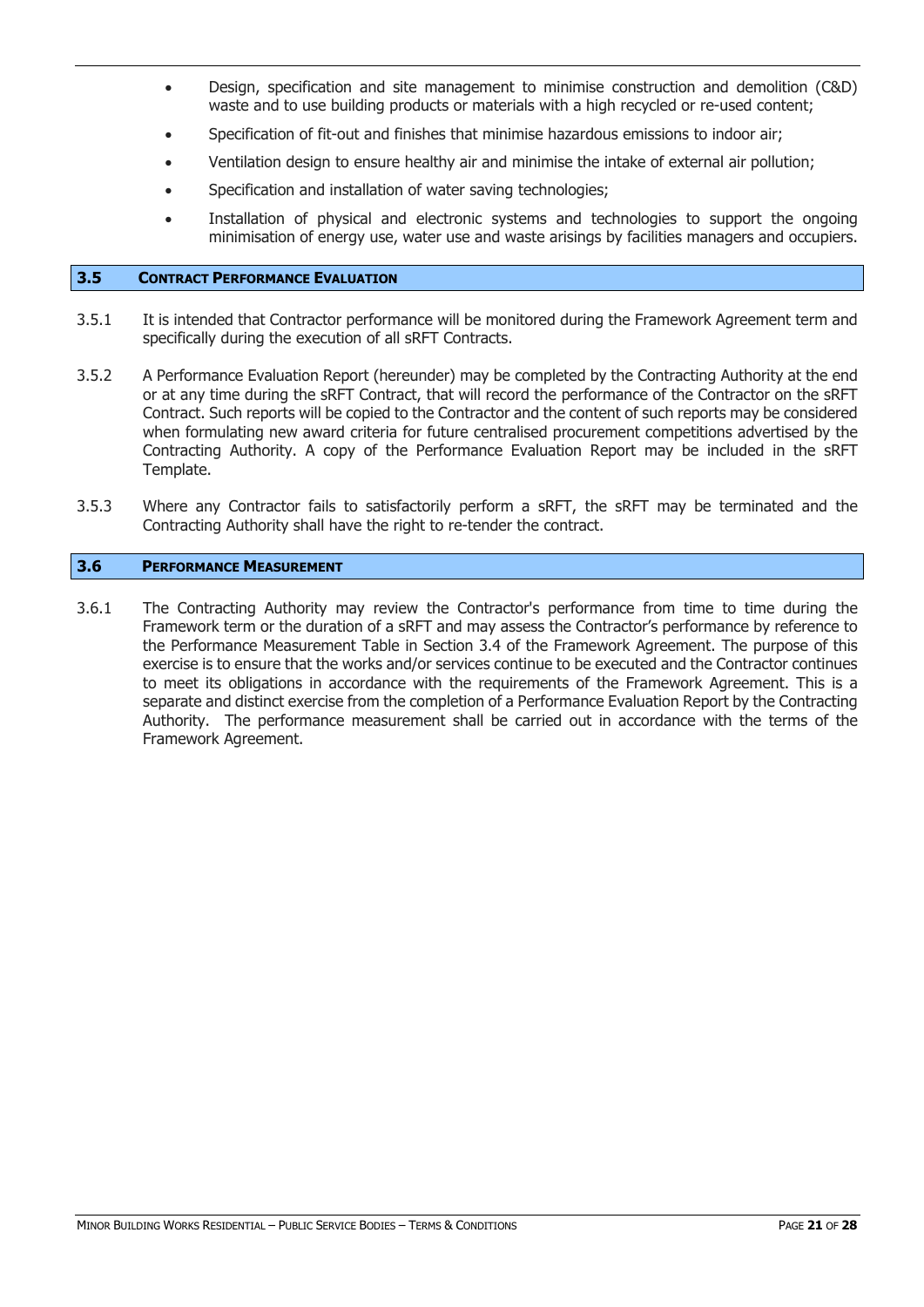- Design, specification and site management to minimise construction and demolition (C&D) waste and to use building products or materials with a high recycled or re-used content;
- Specification of fit-out and finishes that minimise hazardous emissions to indoor air;
- Ventilation design to ensure healthy air and minimise the intake of external air pollution;
- Specification and installation of water saving technologies;
- Installation of physical and electronic systems and technologies to support the ongoing minimisation of energy use, water use and waste arisings by facilities managers and occupiers.

# **3.5 CONTRACT PERFORMANCE EVALUATION**

- 3.5.1 It is intended that Contractor performance will be monitored during the Framework Agreement term and specifically during the execution of all sRFT Contracts.
- 3.5.2 A Performance Evaluation Report (hereunder) may be completed by the Contracting Authority at the end or at any time during the sRFT Contract, that will record the performance of the Contractor on the sRFT Contract. Such reports will be copied to the Contractor and the content of such reports may be considered when formulating new award criteria for future centralised procurement competitions advertised by the Contracting Authority. A copy of the Performance Evaluation Report may be included in the sRFT Template.
- 3.5.3 Where any Contractor fails to satisfactorily perform a sRFT, the sRFT may be terminated and the Contracting Authority shall have the right to re-tender the contract.

#### **3.6 PERFORMANCE MEASUREMENT**

3.6.1 The Contracting Authority may review the Contractor's performance from time to time during the Framework term or the duration of a sRFT and may assess the Contractor's performance by reference to the Performance Measurement Table in Section 3.4 of the Framework Agreement. The purpose of this exercise is to ensure that the works and/or services continue to be executed and the Contractor continues to meet its obligations in accordance with the requirements of the Framework Agreement. This is a separate and distinct exercise from the completion of a Performance Evaluation Report by the Contracting Authority. The performance measurement shall be carried out in accordance with the terms of the Framework Agreement.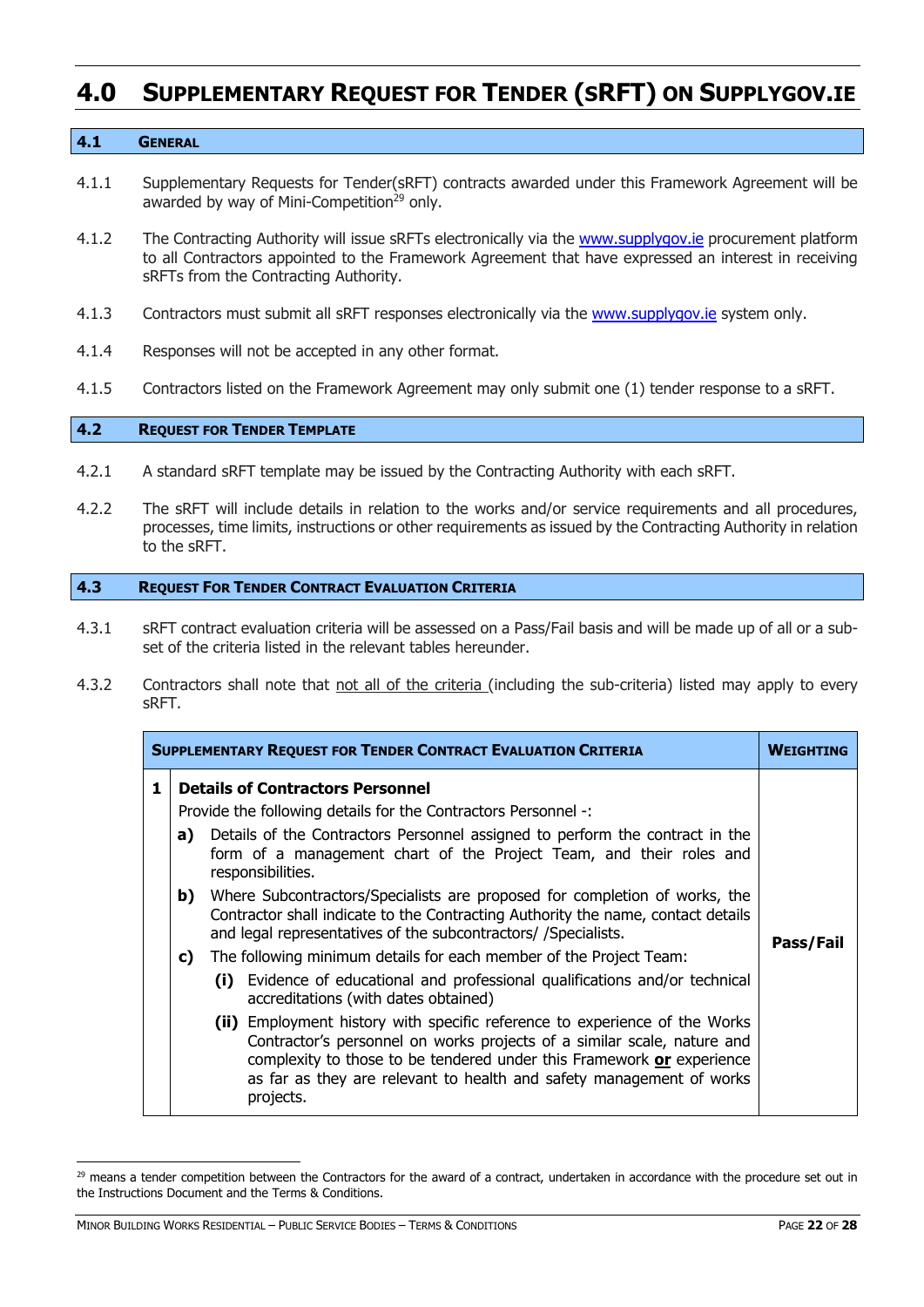# **4.0 SUPPLEMENTARY REQUEST FOR TENDER (SRFT) ON SUPPLYGOV.IE**

#### **4.1 GENERAL**

- 4.1.1 Supplementary Requests for Tender(sRFT) contracts awarded under this Framework Agreement will be awarded by way of Mini-Competition<sup>29</sup> only.
- 4.1.2 The Contracting Authority will issue sRFTs electronically via the www.supplygov.ie procurement platform to all Contractors appointed to the Framework Agreement that have expressed an interest in receiving sRFTs from the Contracting Authority.
- 4.1.3 Contractors must submit all sRFT responses electronically via the www.supplygov.ie system only.
- 4.1.4 Responses will not be accepted in any other format.
- 4.1.5 Contractors listed on the Framework Agreement may only submit one (1) tender response to a sRFT.

## **4.2 REQUEST FOR TENDER TEMPLATE**

- 4.2.1 A standard sRFT template may be issued by the Contracting Authority with each sRFT.
- 4.2.2 The sRFT will include details in relation to the works and/or service requirements and all procedures, processes, time limits, instructions or other requirements as issued by the Contracting Authority in relation to the sRFT.

#### **4.3 REQUEST FOR TENDER CONTRACT EVALUATION CRITERIA**

- 4.3.1 sRFT contract evaluation criteria will be assessed on a Pass/Fail basis and will be made up of all or a subset of the criteria listed in the relevant tables hereunder.
- 4.3.2 Contractors shall note that not all of the criteria (including the sub-criteria) listed may apply to every sRFT.

| <b>SUPPLEMENTARY REQUEST FOR TENDER CONTRACT EVALUATION CRITERIA</b> |                                                                                                                                                                                                                                                                                             |  | WFTGHTTNG                                                                                                                                                                                                                                                                                                                                                                                                                                                                                                         |  |
|----------------------------------------------------------------------|---------------------------------------------------------------------------------------------------------------------------------------------------------------------------------------------------------------------------------------------------------------------------------------------|--|-------------------------------------------------------------------------------------------------------------------------------------------------------------------------------------------------------------------------------------------------------------------------------------------------------------------------------------------------------------------------------------------------------------------------------------------------------------------------------------------------------------------|--|
| 1                                                                    | <b>Details of Contractors Personnel</b><br>Provide the following details for the Contractors Personnel -:<br>Details of the Contractors Personnel assigned to perform the contract in the<br>a)<br>form of a management chart of the Project Team, and their roles and<br>responsibilities. |  |                                                                                                                                                                                                                                                                                                                                                                                                                                                                                                                   |  |
|                                                                      | Where Subcontractors/Specialists are proposed for completion of works, the<br>b)<br>Contractor shall indicate to the Contracting Authority the name, contact details<br>and legal representatives of the subcontractors/ / Specialists.                                                     |  | Pass/Fail                                                                                                                                                                                                                                                                                                                                                                                                                                                                                                         |  |
|                                                                      | C)                                                                                                                                                                                                                                                                                          |  | The following minimum details for each member of the Project Team:<br>(i) Evidence of educational and professional qualifications and/or technical<br>accreditations (with dates obtained)<br>(ii) Employment history with specific reference to experience of the Works<br>Contractor's personnel on works projects of a similar scale, nature and<br>complexity to those to be tendered under this Framework or experience<br>as far as they are relevant to health and safety management of works<br>projects. |  |

<sup>&</sup>lt;sup>29</sup> means a tender competition between the Contractors for the award of a contract, undertaken in accordance with the procedure set out in the Instructions Document and the Terms & Conditions.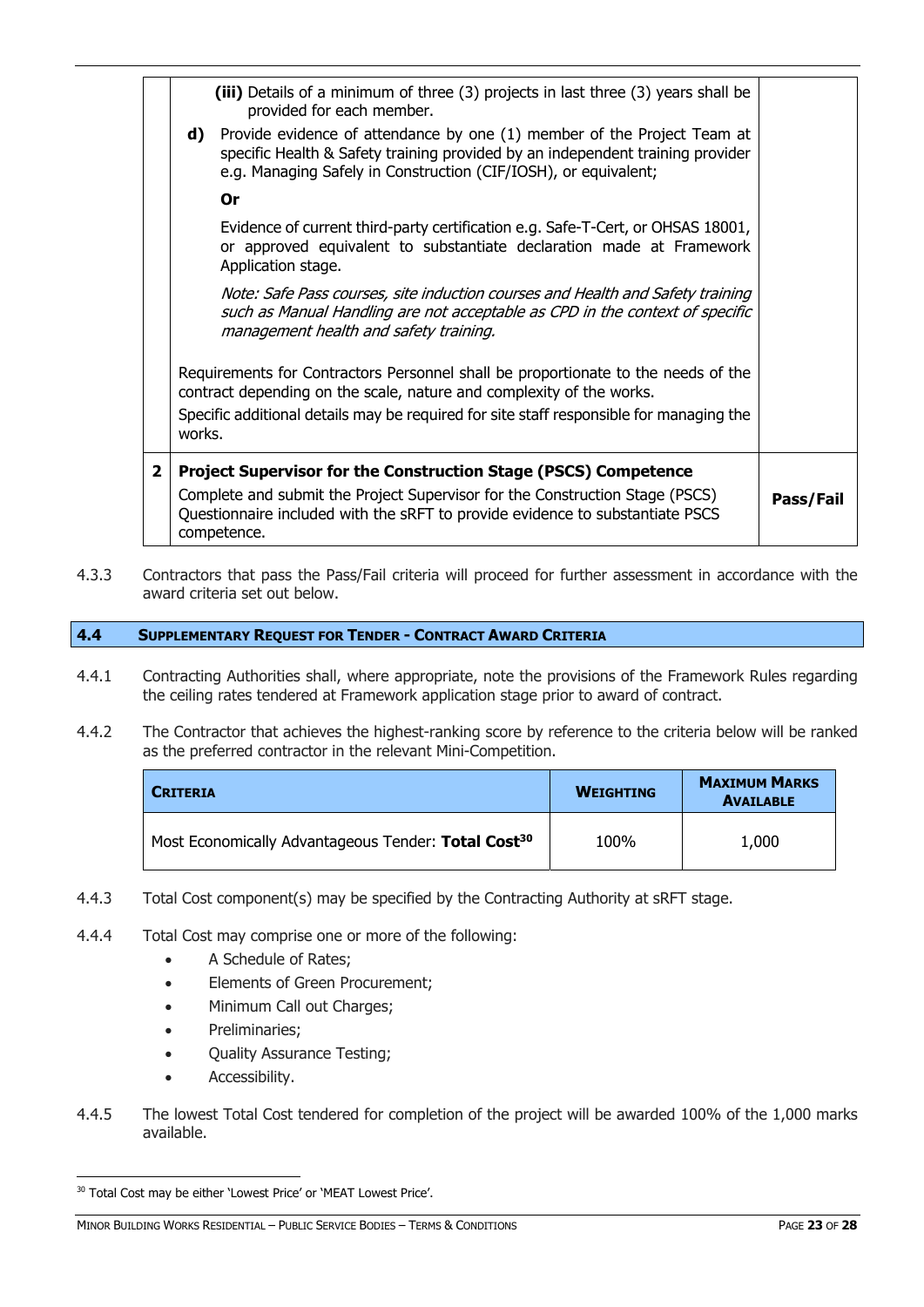|              |                                                                        | (iii) Details of a minimum of three (3) projects in last three (3) years shall be<br>provided for each member.                                                                                                                         |           |
|--------------|------------------------------------------------------------------------|----------------------------------------------------------------------------------------------------------------------------------------------------------------------------------------------------------------------------------------|-----------|
|              |                                                                        | <b>d)</b> Provide evidence of attendance by one (1) member of the Project Team at<br>specific Health & Safety training provided by an independent training provider<br>e.g. Managing Safely in Construction (CIF/IOSH), or equivalent; |           |
|              |                                                                        | Or                                                                                                                                                                                                                                     |           |
|              |                                                                        | Evidence of current third-party certification e.g. Safe-T-Cert, or OHSAS 18001,<br>or approved equivalent to substantiate declaration made at Framework<br>Application stage.                                                          |           |
|              |                                                                        | Note: Safe Pass courses, site induction courses and Health and Safety training<br>such as Manual Handling are not acceptable as CPD in the context of specific<br>management health and safety training.                               |           |
|              |                                                                        | Requirements for Contractors Personnel shall be proportionate to the needs of the<br>contract depending on the scale, nature and complexity of the works.                                                                              |           |
|              | works.                                                                 | Specific additional details may be required for site staff responsible for managing the                                                                                                                                                |           |
| $\mathbf{2}$ | <b>Project Supervisor for the Construction Stage (PSCS) Competence</b> |                                                                                                                                                                                                                                        |           |
|              |                                                                        | Complete and submit the Project Supervisor for the Construction Stage (PSCS)<br>Questionnaire included with the sRFT to provide evidence to substantiate PSCS<br>competence.                                                           | Pass/Fail |

4.3.3 Contractors that pass the Pass/Fail criteria will proceed for further assessment in accordance with the award criteria set out below.

# **4.4 SUPPLEMENTARY REQUEST FOR TENDER - CONTRACT AWARD CRITERIA**

- 4.4.1 Contracting Authorities shall, where appropriate, note the provisions of the Framework Rules regarding the ceiling rates tendered at Framework application stage prior to award of contract.
- 4.4.2 The Contractor that achieves the highest-ranking score by reference to the criteria below will be ranked as the preferred contractor in the relevant Mini-Competition.

| <b>CRITERIA</b>                                                 | <b>WEIGHTING</b> | <b>MAXIMUM MARKS</b><br><b>AVAILABLE</b> |
|-----------------------------------------------------------------|------------------|------------------------------------------|
| Most Economically Advantageous Tender: Total Cost <sup>30</sup> | 100%             | 1,000                                    |

- 4.4.3 Total Cost component(s) may be specified by the Contracting Authority at sRFT stage.
- 4.4.4 Total Cost may comprise one or more of the following:
	- A Schedule of Rates;
	- Elements of Green Procurement:
	- Minimum Call out Charges;
	- Preliminaries;
	- Quality Assurance Testing;
	- Accessibility.

-

4.4.5 The lowest Total Cost tendered for completion of the project will be awarded 100% of the 1,000 marks available.

<sup>30</sup> Total Cost may be either 'Lowest Price' or 'MEAT Lowest Price'.

MINOR BUILDING WORKS RESIDENTIAL – PUBLIC SERVICE BODIES – TERMS & CONDITIONS PAGE **23** OF **28**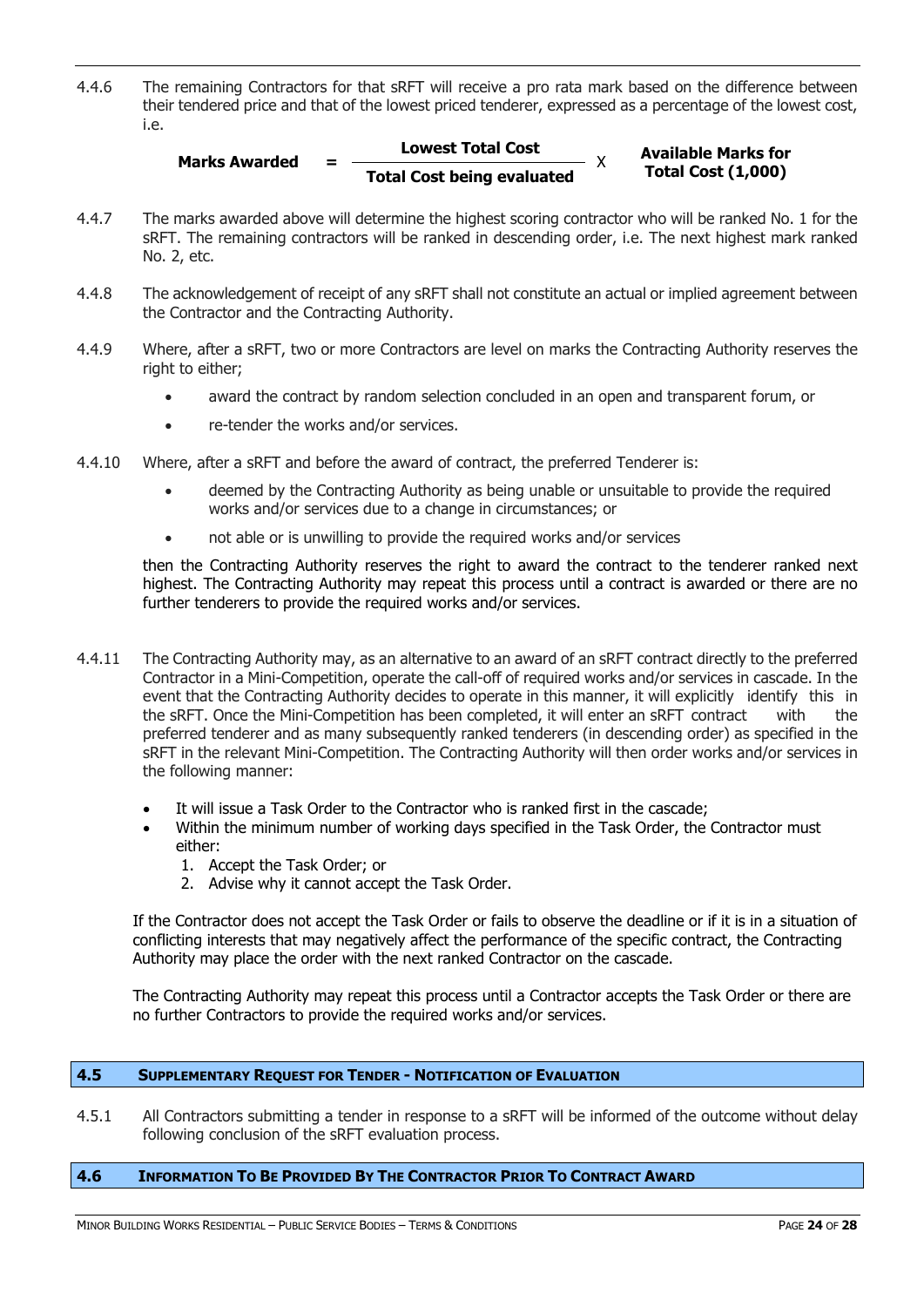4.4.6 The remaining Contractors for that sRFT will receive a pro rata mark based on the difference between their tendered price and that of the lowest priced tenderer, expressed as a percentage of the lowest cost, i.e.

> **Marks Awarded Lowest Total Cost** <sup>X</sup>**Available Marks for Total Cost being evaluated**

- 4.4.7 The marks awarded above will determine the highest scoring contractor who will be ranked No. 1 for the sRFT. The remaining contractors will be ranked in descending order, i.e. The next highest mark ranked No. 2, etc.
- 4.4.8 The acknowledgement of receipt of any sRFT shall not constitute an actual or implied agreement between the Contractor and the Contracting Authority.
- 4.4.9 Where, after a sRFT, two or more Contractors are level on marks the Contracting Authority reserves the right to either:
	- award the contract by random selection concluded in an open and transparent forum, or
	- re-tender the works and/or services.
- 4.4.10 Where, after a sRFT and before the award of contract, the preferred Tenderer is:
	- deemed by the Contracting Authority as being unable or unsuitable to provide the required works and/or services due to a change in circumstances; or
	- not able or is unwilling to provide the required works and/or services

then the Contracting Authority reserves the right to award the contract to the tenderer ranked next highest. The Contracting Authority may repeat this process until a contract is awarded or there are no further tenderers to provide the required works and/or services.

- 4.4.11 The Contracting Authority may, as an alternative to an award of an sRFT contract directly to the preferred Contractor in a Mini-Competition, operate the call-off of required works and/or services in cascade. In the event that the Contracting Authority decides to operate in this manner, it will explicitly identify this in the sRFT. Once the Mini-Competition has been completed, it will enter an sRFT contract with the preferred tenderer and as many subsequently ranked tenderers (in descending order) as specified in the sRFT in the relevant Mini-Competition. The Contracting Authority will then order works and/or services in the following manner:
	- It will issue a Task Order to the Contractor who is ranked first in the cascade;
	- Within the minimum number of working days specified in the Task Order, the Contractor must either:
		- 1. Accept the Task Order; or
		- 2. Advise why it cannot accept the Task Order.

If the Contractor does not accept the Task Order or fails to observe the deadline or if it is in a situation of conflicting interests that may negatively affect the performance of the specific contract, the Contracting Authority may place the order with the next ranked Contractor on the cascade.

The Contracting Authority may repeat this process until a Contractor accepts the Task Order or there are no further Contractors to provide the required works and/or services.

# **4.5 SUPPLEMENTARY REQUEST FOR TENDER - NOTIFICATION OF EVALUATION**

4.5.1 All Contractors submitting a tender in response to a sRFT will be informed of the outcome without delay following conclusion of the sRFT evaluation process.

# **4.6 INFORMATION TO BE PROVIDED BY THE CONTRACTOR PRIOR TO CONTRACT AWARD**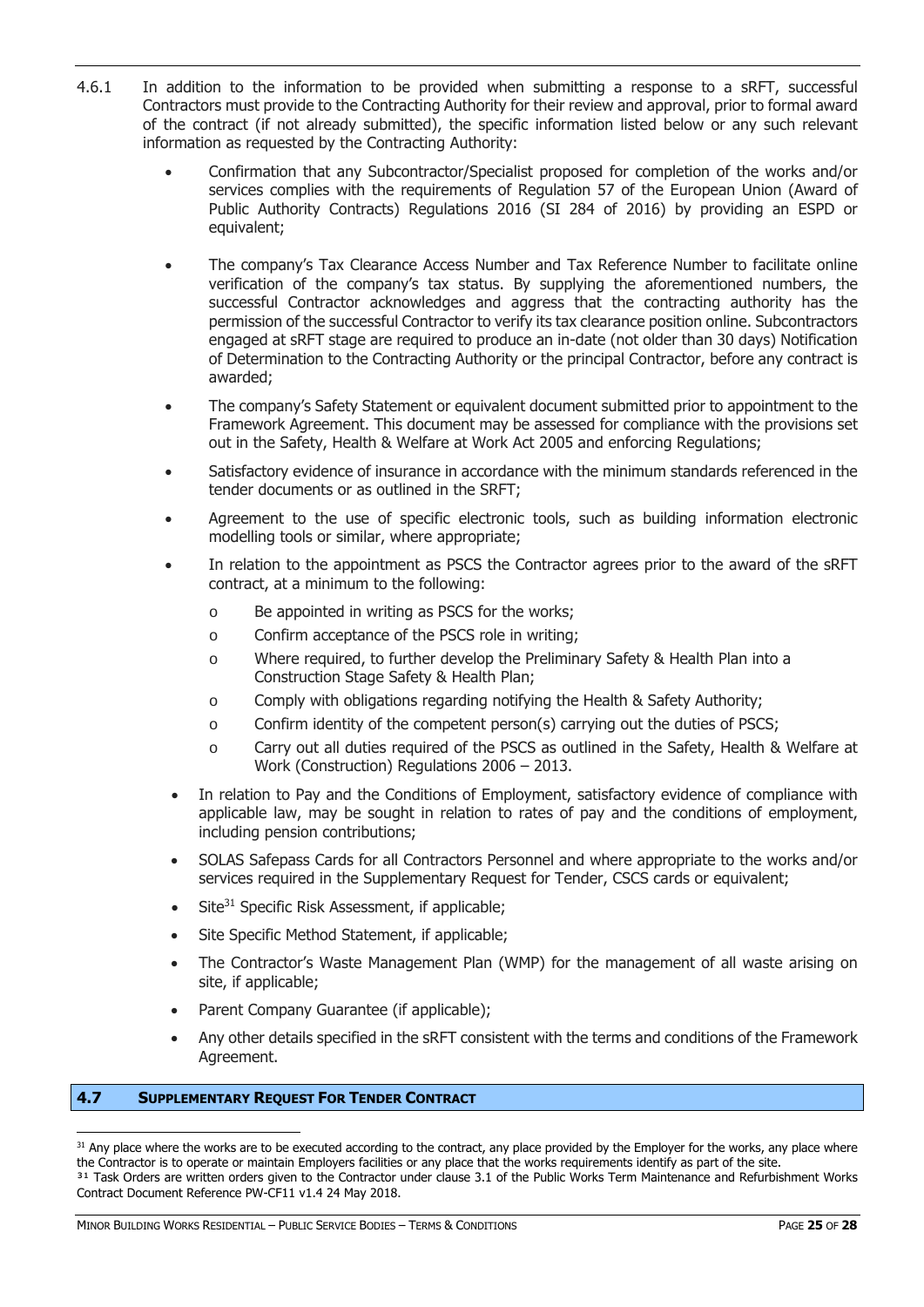- 4.6.1 In addition to the information to be provided when submitting a response to a sRFT, successful Contractors must provide to the Contracting Authority for their review and approval, prior to formal award of the contract (if not already submitted), the specific information listed below or any such relevant information as requested by the Contracting Authority:
	- Confirmation that any Subcontractor/Specialist proposed for completion of the works and/or services complies with the requirements of Regulation 57 of the European Union (Award of Public Authority Contracts) Regulations 2016 (SI 284 of 2016) by providing an ESPD or equivalent;
	- The company's Tax Clearance Access Number and Tax Reference Number to facilitate online verification of the company's tax status. By supplying the aforementioned numbers, the successful Contractor acknowledges and aggress that the contracting authority has the permission of the successful Contractor to verify its tax clearance position online. Subcontractors engaged at sRFT stage are required to produce an in-date (not older than 30 days) Notification of Determination to the Contracting Authority or the principal Contractor, before any contract is awarded;
	- The company's Safety Statement or equivalent document submitted prior to appointment to the Framework Agreement. This document may be assessed for compliance with the provisions set out in the Safety, Health & Welfare at Work Act 2005 and enforcing Regulations;
	- Satisfactory evidence of insurance in accordance with the minimum standards referenced in the tender documents or as outlined in the SRFT;
	- Agreement to the use of specific electronic tools, such as building information electronic modelling tools or similar, where appropriate;
	- In relation to the appointment as PSCS the Contractor agrees prior to the award of the sRFT contract, at a minimum to the following:
		- o Be appointed in writing as PSCS for the works;
		- o Confirm acceptance of the PSCS role in writing;
		- o Where required, to further develop the Preliminary Safety & Health Plan into a Construction Stage Safety & Health Plan;
		- $\circ$  Comply with obligations regarding notifying the Health & Safety Authority;
		- o Confirm identity of the competent person(s) carrying out the duties of PSCS;
		- o Carry out all duties required of the PSCS as outlined in the Safety, Health & Welfare at Work (Construction) Regulations 2006 – 2013.
	- In relation to Pay and the Conditions of Employment, satisfactory evidence of compliance with applicable law, may be sought in relation to rates of pay and the conditions of employment, including pension contributions;
	- SOLAS Safepass Cards for all Contractors Personnel and where appropriate to the works and/or services required in the Supplementary Request for Tender, CSCS cards or equivalent;
	- Site<sup>31</sup> Specific Risk Assessment, if applicable;
	- Site Specific Method Statement, if applicable;
	- The Contractor's Waste Management Plan (WMP) for the management of all waste arising on site, if applicable;
	- Parent Company Guarantee (if applicable);
	- Any other details specified in the sRFT consistent with the terms and conditions of the Framework Agreement.

# **4.7 SUPPLEMENTARY REQUEST FOR TENDER CONTRACT**

<sup>&</sup>lt;sup>31</sup> Any place where the works are to be executed according to the contract, any place provided by the Employer for the works, any place where the Contractor is to operate or maintain Employers facilities or any place that the works requirements identify as part of the site. 31 Task Orders are written orders given to the Contractor under clause 3.1 of the Public Works Term Maintenance and Refurbishment Works Contract Document Reference PW-CF11 v1.4 24 May 2018.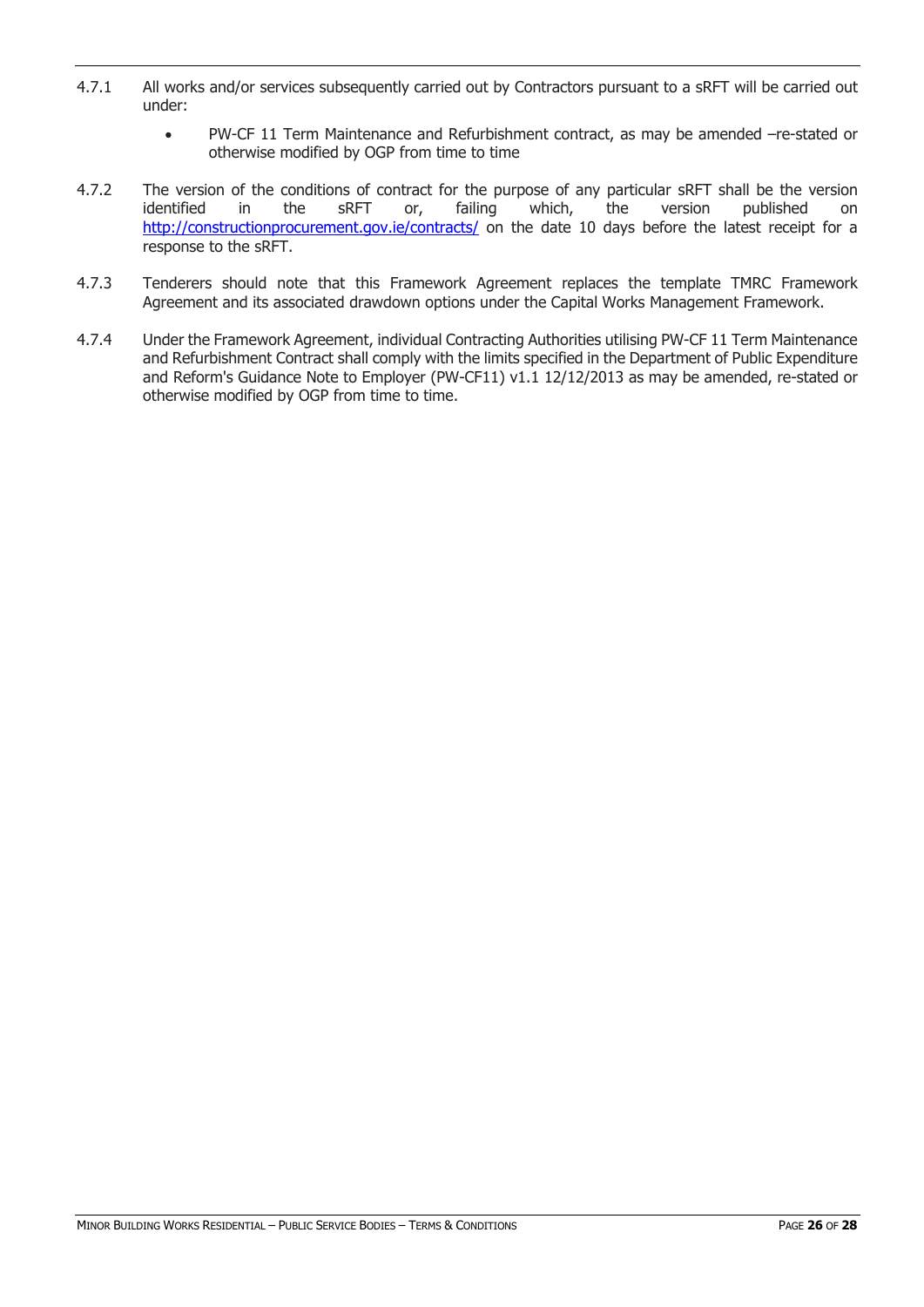- 4.7.1 All works and/or services subsequently carried out by Contractors pursuant to a sRFT will be carried out under:
	- PW-CF 11 Term Maintenance and Refurbishment contract, as may be amended –re-stated or otherwise modified by OGP from time to time
- 4.7.2 The version of the conditions of contract for the purpose of any particular sRFT shall be the version identified in the sRFT or, failing which, the version published on http://constructionprocurement.gov.ie/contracts/ on the date 10 days before the latest receipt for a response to the sRFT.
- 4.7.3 Tenderers should note that this Framework Agreement replaces the template TMRC Framework Agreement and its associated drawdown options under the Capital Works Management Framework.
- 4.7.4 Under the Framework Agreement, individual Contracting Authorities utilising PW-CF 11 Term Maintenance and Refurbishment Contract shall comply with the limits specified in the Department of Public Expenditure and Reform's Guidance Note to Employer (PW-CF11) v1.1 12/12/2013 as may be amended, re-stated or otherwise modified by OGP from time to time.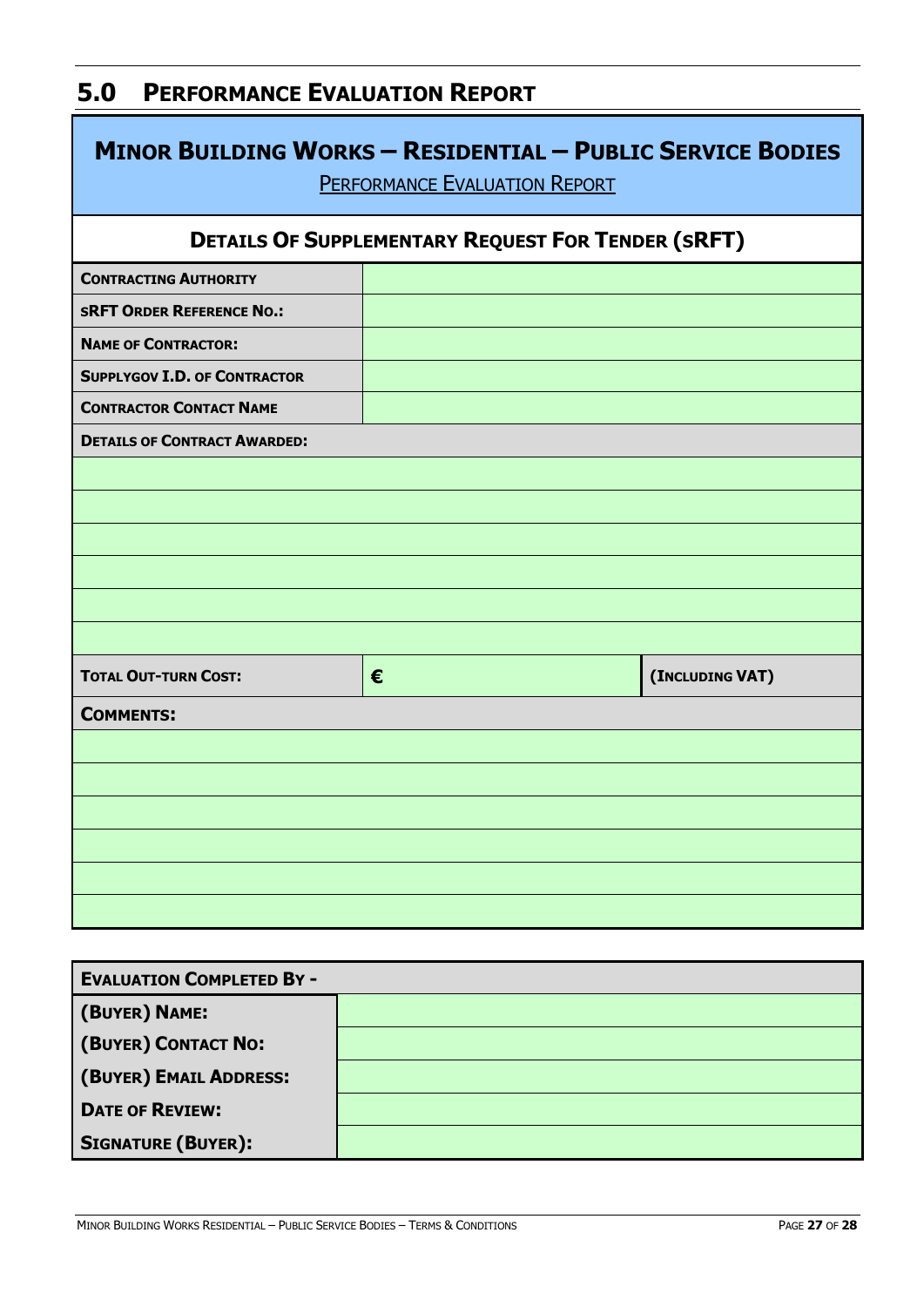# **5.0 PERFORMANCE EVALUATION REPORT**

| <b>MINOR BUILDING WORKS - RESIDENTIAL - PUBLIC SERVICE BODIES</b><br><b>PERFORMANCE EVALUATION REPORT</b> |                                                           |                 |  |  |
|-----------------------------------------------------------------------------------------------------------|-----------------------------------------------------------|-----------------|--|--|
|                                                                                                           | <b>DETAILS OF SUPPLEMENTARY REQUEST FOR TENDER (SRFT)</b> |                 |  |  |
| <b>CONTRACTING AUTHORITY</b>                                                                              |                                                           |                 |  |  |
| <b>SRFT ORDER REFERENCE NO.:</b>                                                                          |                                                           |                 |  |  |
| <b>NAME OF CONTRACTOR:</b>                                                                                |                                                           |                 |  |  |
| <b>SUPPLYGOV I.D. OF CONTRACTOR</b>                                                                       |                                                           |                 |  |  |
| <b>CONTRACTOR CONTACT NAME</b>                                                                            |                                                           |                 |  |  |
| <b>DETAILS OF CONTRACT AWARDED:</b>                                                                       |                                                           |                 |  |  |
|                                                                                                           |                                                           |                 |  |  |
|                                                                                                           |                                                           |                 |  |  |
|                                                                                                           |                                                           |                 |  |  |
|                                                                                                           |                                                           |                 |  |  |
|                                                                                                           |                                                           |                 |  |  |
|                                                                                                           |                                                           |                 |  |  |
| <b>TOTAL OUT-TURN COST:</b>                                                                               | €                                                         | (INCLUDING VAT) |  |  |
| <b>COMMENTS:</b>                                                                                          |                                                           |                 |  |  |
|                                                                                                           |                                                           |                 |  |  |
|                                                                                                           |                                                           |                 |  |  |
|                                                                                                           |                                                           |                 |  |  |
|                                                                                                           |                                                           |                 |  |  |
|                                                                                                           |                                                           |                 |  |  |
|                                                                                                           |                                                           |                 |  |  |

| <b>EVALUATION COMPLETED BY -</b> |  |  |  |
|----------------------------------|--|--|--|
| (BUYER) NAME:                    |  |  |  |
| <b>(BUYER) CONTACT NO:</b>       |  |  |  |
| (BUYER) EMAIL ADDRESS:           |  |  |  |
| <b>DATE OF REVIEW:</b>           |  |  |  |
| <b>SIGNATURE (BUYER):</b>        |  |  |  |